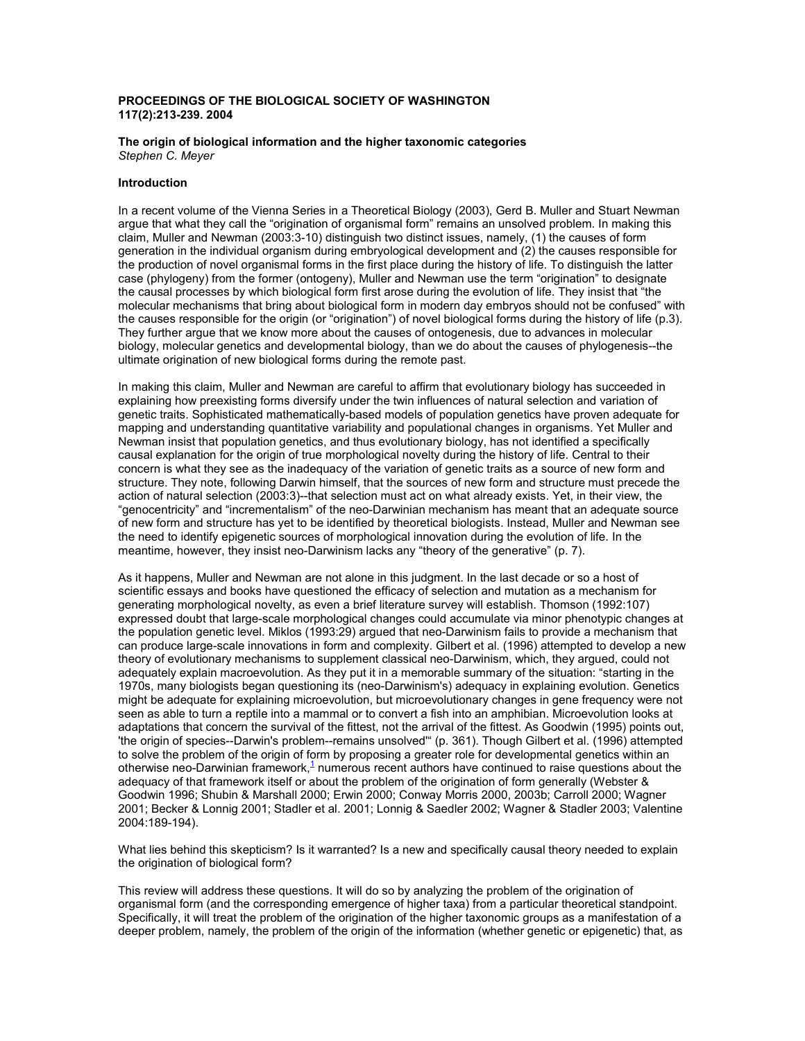# PROCEEDINGS OF THE BIOLOGICAL SOCIETY OF WASHINGTON 117(2):213-239. 2004

## The origin of biological information and the higher taxonomic categories Stephen C. Meyer

## Introduction

In a recent volume of the Vienna Series in a Theoretical Biology (2003), Gerd B. Muller and Stuart Newman argue that what they call the "origination of organismal form" remains an unsolved problem. In making this claim, Muller and Newman (2003:3-10) distinguish two distinct issues, namely, (1) the causes of form generation in the individual organism during embryological development and (2) the causes responsible for the production of novel organismal forms in the first place during the history of life. To distinguish the latter case (phylogeny) from the former (ontogeny), Muller and Newman use the term "origination" to designate the causal processes by which biological form first arose during the evolution of life. They insist that "the molecular mechanisms that bring about biological form in modern day embryos should not be confused" with the causes responsible for the origin (or "origination") of novel biological forms during the history of life (p.3). They further argue that we know more about the causes of ontogenesis, due to advances in molecular biology, molecular genetics and developmental biology, than we do about the causes of phylogenesis--the ultimate origination of new biological forms during the remote past.

In making this claim, Muller and Newman are careful to affirm that evolutionary biology has succeeded in explaining how preexisting forms diversify under the twin influences of natural selection and variation of genetic traits. Sophisticated mathematically-based models of population genetics have proven adequate for mapping and understanding quantitative variability and populational changes in organisms. Yet Muller and Newman insist that population genetics, and thus evolutionary biology, has not identified a specifically causal explanation for the origin of true morphological novelty during the history of life. Central to their concern is what they see as the inadequacy of the variation of genetic traits as a source of new form and structure. They note, following Darwin himself, that the sources of new form and structure must precede the action of natural selection (2003:3)--that selection must act on what already exists. Yet, in their view, the "genocentricity" and "incrementalism" of the neo-Darwinian mechanism has meant that an adequate source of new form and structure has yet to be identified by theoretical biologists. Instead, Muller and Newman see the need to identify epigenetic sources of morphological innovation during the evolution of life. In the meantime, however, they insist neo-Darwinism lacks any "theory of the generative" (p. 7).

As it happens, Muller and Newman are not alone in this judgment. In the last decade or so a host of scientific essays and books have questioned the efficacy of selection and mutation as a mechanism for generating morphological novelty, as even a brief literature survey will establish. Thomson (1992:107) expressed doubt that large-scale morphological changes could accumulate via minor phenotypic changes at the population genetic level. Miklos (1993:29) argued that neo-Darwinism fails to provide a mechanism that can produce large-scale innovations in form and complexity. Gilbert et al. (1996) attempted to develop a new theory of evolutionary mechanisms to supplement classical neo-Darwinism, which, they argued, could not adequately explain macroevolution. As they put it in a memorable summary of the situation: "starting in the 1970s, many biologists began questioning its (neo-Darwinism's) adequacy in explaining evolution. Genetics might be adequate for explaining microevolution, but microevolutionary changes in gene frequency were not seen as able to turn a reptile into a mammal or to convert a fish into an amphibian. Microevolution looks at adaptations that concern the survival of the fittest, not the arrival of the fittest. As Goodwin (1995) points out, 'the origin of species--Darwin's problem--remains unsolved'" (p. 361). Though Gilbert et al. (1996) attempted to solve the problem of the origin of form by proposing a greater role for developmental genetics within an otherwise neo-Darwinian framework, $1$  numerous recent authors have continued to raise questions about the adequacy of that framework itself or about the problem of the origination of form generally (Webster & Goodwin 1996; Shubin & Marshall 2000; Erwin 2000; Conway Morris 2000, 2003b; Carroll 2000; Wagner 2001; Becker & Lonnig 2001; Stadler et al. 2001; Lonnig & Saedler 2002; Wagner & Stadler 2003; Valentine 2004:189-194).

What lies behind this skepticism? Is it warranted? Is a new and specifically causal theory needed to explain the origination of biological form?

This review will address these questions. It will do so by analyzing the problem of the origination of organismal form (and the corresponding emergence of higher taxa) from a particular theoretical standpoint. Specifically, it will treat the problem of the origination of the higher taxonomic groups as a manifestation of a deeper problem, namely, the problem of the origin of the information (whether genetic or epigenetic) that, as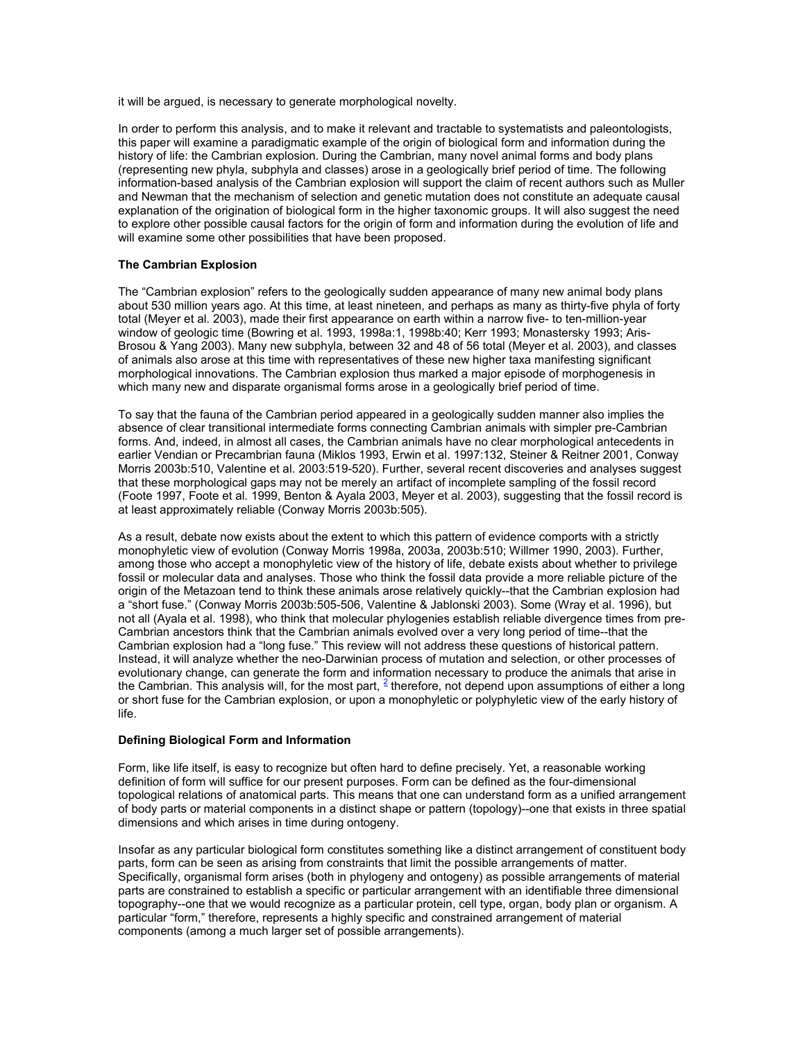it will be argued, is necessary to generate morphological novelty.

In order to perform this analysis, and to make it relevant and tractable to systematists and paleontologists, this paper will examine a paradigmatic example of the origin of biological form and information during the history of life: the Cambrian explosion. During the Cambrian, many novel animal forms and body plans (representing new phyla, subphyla and classes) arose in a geologically brief period of time. The following information-based analysis of the Cambrian explosion will support the claim of recent authors such as Muller and Newman that the mechanism of selection and genetic mutation does not constitute an adequate causal explanation of the origination of biological form in the higher taxonomic groups. It will also suggest the need to explore other possible causal factors for the origin of form and information during the evolution of life and will examine some other possibilities that have been proposed.

# The Cambrian Explosion

The "Cambrian explosion" refers to the geologically sudden appearance of many new animal body plans about 530 million years ago. At this time, at least nineteen, and perhaps as many as thirty-five phyla of forty total (Meyer et al. 2003), made their first appearance on earth within a narrow five- to ten-million-year window of geologic time (Bowring et al. 1993, 1998a:1, 1998b:40; Kerr 1993; Monastersky 1993; Aris-Brosou & Yang 2003). Many new subphyla, between 32 and 48 of 56 total (Meyer et al. 2003), and classes of animals also arose at this time with representatives of these new higher taxa manifesting significant morphological innovations. The Cambrian explosion thus marked a major episode of morphogenesis in which many new and disparate organismal forms arose in a geologically brief period of time.

To say that the fauna of the Cambrian period appeared in a geologically sudden manner also implies the absence of clear transitional intermediate forms connecting Cambrian animals with simpler pre-Cambrian forms. And, indeed, in almost all cases, the Cambrian animals have no clear morphological antecedents in earlier Vendian or Precambrian fauna (Miklos 1993, Erwin et al. 1997:132, Steiner & Reitner 2001, Conway Morris 2003b:510, Valentine et al. 2003:519-520). Further, several recent discoveries and analyses suggest that these morphological gaps may not be merely an artifact of incomplete sampling of the fossil record (Foote 1997, Foote et al. 1999, Benton & Ayala 2003, Meyer et al. 2003), suggesting that the fossil record is at least approximately reliable (Conway Morris 2003b:505).

As a result, debate now exists about the extent to which this pattern of evidence comports with a strictly monophyletic view of evolution (Conway Morris 1998a, 2003a, 2003b:510; Willmer 1990, 2003). Further, among those who accept a monophyletic view of the history of life, debate exists about whether to privilege fossil or molecular data and analyses. Those who think the fossil data provide a more reliable picture of the origin of the Metazoan tend to think these animals arose relatively quickly--that the Cambrian explosion had a "short fuse." (Conway Morris 2003b:505-506, Valentine & Jablonski 2003). Some (Wray et al. 1996), but not all (Ayala et al. 1998), who think that molecular phylogenies establish reliable divergence times from pre-Cambrian ancestors think that the Cambrian animals evolved over a very long period of time--that the Cambrian explosion had a "long fuse." This review will not address these questions of historical pattern. Instead, it will analyze whether the neo-Darwinian process of mutation and selection, or other processes of evolutionary change, can generate the form and information necessary to produce the animals that arise in the Cambrian. This analysis will, for the most part, <sup>[2](http://www.discovery.org/scripts/viewDB/index.php?command=view&id=2177&program=CSC%20-%20Scientific%20Research%20and%20Scholarship%20-%20Science#footnote2#footnote2)</sup> therefore, not depend upon assumptions of either a long or short fuse for the Cambrian explosion, or upon a monophyletic or polyphyletic view of the early history of life.

## Defining Biological Form and Information

Form, like life itself, is easy to recognize but often hard to define precisely. Yet, a reasonable working definition of form will suffice for our present purposes. Form can be defined as the four-dimensional topological relations of anatomical parts. This means that one can understand form as a unified arrangement of body parts or material components in a distinct shape or pattern (topology)--one that exists in three spatial dimensions and which arises in time during ontogeny.

Insofar as any particular biological form constitutes something like a distinct arrangement of constituent body parts, form can be seen as arising from constraints that limit the possible arrangements of matter. Specifically, organismal form arises (both in phylogeny and ontogeny) as possible arrangements of material parts are constrained to establish a specific or particular arrangement with an identifiable three dimensional topography--one that we would recognize as a particular protein, cell type, organ, body plan or organism. A particular "form," therefore, represents a highly specific and constrained arrangement of material components (among a much larger set of possible arrangements).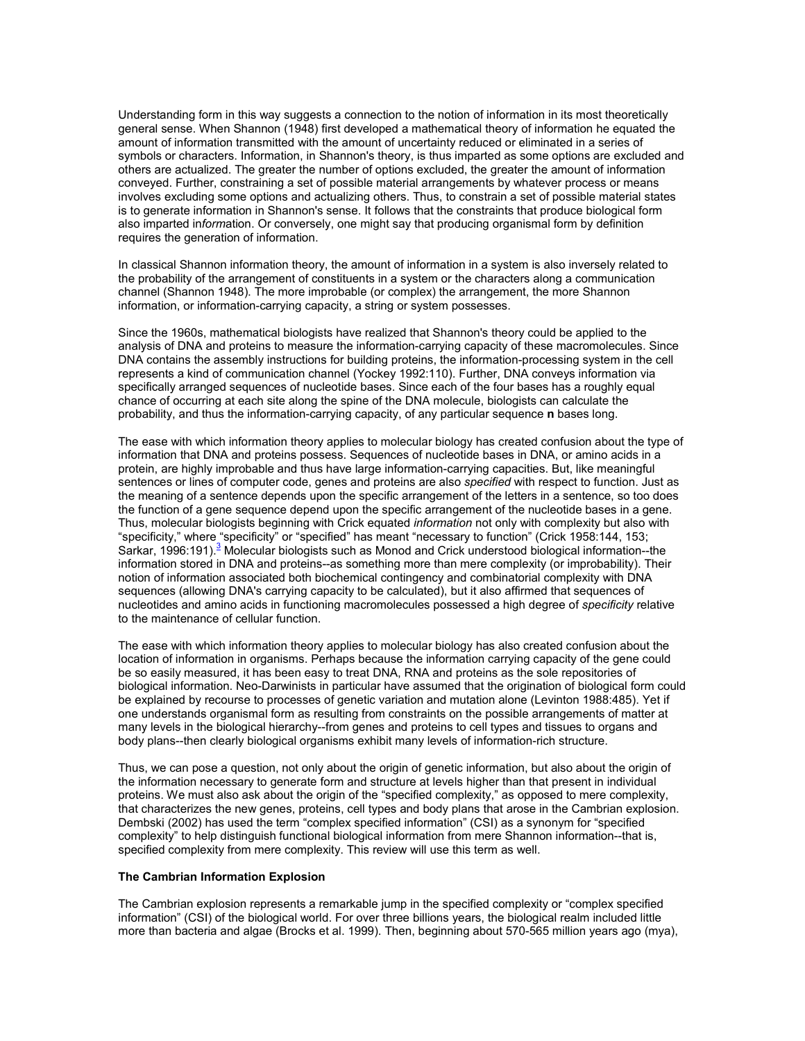Understanding form in this way suggests a connection to the notion of information in its most theoretically general sense. When Shannon (1948) first developed a mathematical theory of information he equated the amount of information transmitted with the amount of uncertainty reduced or eliminated in a series of symbols or characters. Information, in Shannon's theory, is thus imparted as some options are excluded and others are actualized. The greater the number of options excluded, the greater the amount of information conveyed. Further, constraining a set of possible material arrangements by whatever process or means involves excluding some options and actualizing others. Thus, to constrain a set of possible material states is to generate information in Shannon's sense. It follows that the constraints that produce biological form also imparted information. Or conversely, one might say that producing organismal form by definition requires the generation of information.

In classical Shannon information theory, the amount of information in a system is also inversely related to the probability of the arrangement of constituents in a system or the characters along a communication channel (Shannon 1948). The more improbable (or complex) the arrangement, the more Shannon information, or information-carrying capacity, a string or system possesses.

Since the 1960s, mathematical biologists have realized that Shannon's theory could be applied to the analysis of DNA and proteins to measure the information-carrying capacity of these macromolecules. Since DNA contains the assembly instructions for building proteins, the information-processing system in the cell represents a kind of communication channel (Yockey 1992:110). Further, DNA conveys information via specifically arranged sequences of nucleotide bases. Since each of the four bases has a roughly equal chance of occurring at each site along the spine of the DNA molecule, biologists can calculate the probability, and thus the information-carrying capacity, of any particular sequence n bases long.

The ease with which information theory applies to molecular biology has created confusion about the type of information that DNA and proteins possess. Sequences of nucleotide bases in DNA, or amino acids in a protein, are highly improbable and thus have large information-carrying capacities. But, like meaningful sentences or lines of computer code, genes and proteins are also *specified* with respect to function. Just as the meaning of a sentence depends upon the specific arrangement of the letters in a sentence, so too does the function of a gene sequence depend upon the specific arrangement of the nucleotide bases in a gene. Thus, molecular biologists beginning with Crick equated *information* not only with complexity but also with "specificity," where "specificity" or "specified" has meant "necessary to function" (Crick 1958:144, 153; Sarkar, 1996:191).<sup>[3](http://www.discovery.org/scripts/viewDB/index.php?command=view&id=2177&program=CSC%20-%20Scientific%20Research%20and%20Scholarship%20-%20Science#footnote3#footnote3)</sup> Molecular biologists such as Monod and Crick understood biological information--the information stored in DNA and proteins--as something more than mere complexity (or improbability). Their notion of information associated both biochemical contingency and combinatorial complexity with DNA sequences (allowing DNA's carrying capacity to be calculated), but it also affirmed that sequences of nucleotides and amino acids in functioning macromolecules possessed a high degree of specificity relative to the maintenance of cellular function.

The ease with which information theory applies to molecular biology has also created confusion about the location of information in organisms. Perhaps because the information carrying capacity of the gene could be so easily measured, it has been easy to treat DNA, RNA and proteins as the sole repositories of biological information. Neo-Darwinists in particular have assumed that the origination of biological form could be explained by recourse to processes of genetic variation and mutation alone (Levinton 1988:485). Yet if one understands organismal form as resulting from constraints on the possible arrangements of matter at many levels in the biological hierarchy--from genes and proteins to cell types and tissues to organs and body plans--then clearly biological organisms exhibit many levels of information-rich structure.

Thus, we can pose a question, not only about the origin of genetic information, but also about the origin of the information necessary to generate form and structure at levels higher than that present in individual proteins. We must also ask about the origin of the "specified complexity," as opposed to mere complexity, that characterizes the new genes, proteins, cell types and body plans that arose in the Cambrian explosion. Dembski (2002) has used the term "complex specified information" (CSI) as a synonym for "specified complexity" to help distinguish functional biological information from mere Shannon information--that is, specified complexity from mere complexity. This review will use this term as well.

## The Cambrian Information Explosion

The Cambrian explosion represents a remarkable jump in the specified complexity or "complex specified information" (CSI) of the biological world. For over three billions years, the biological realm included little more than bacteria and algae (Brocks et al. 1999). Then, beginning about 570-565 million years ago (mya),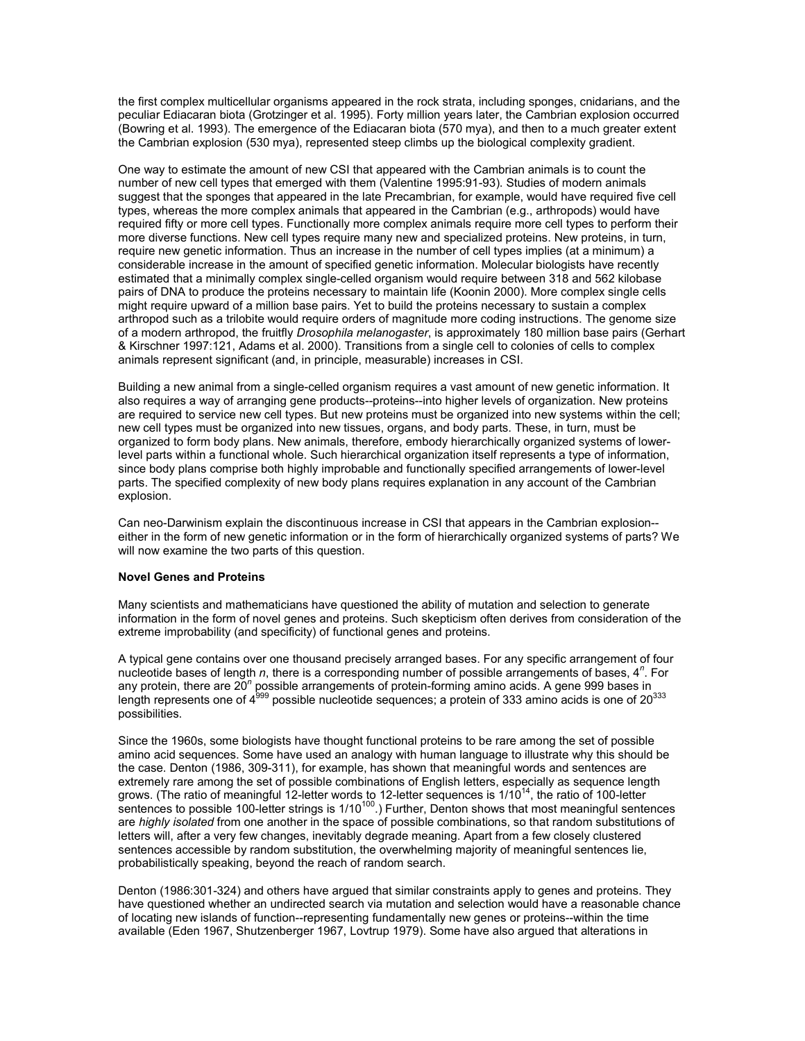the first complex multicellular organisms appeared in the rock strata, including sponges, cnidarians, and the peculiar Ediacaran biota (Grotzinger et al. 1995). Forty million years later, the Cambrian explosion occurred (Bowring et al. 1993). The emergence of the Ediacaran biota (570 mya), and then to a much greater extent the Cambrian explosion (530 mya), represented steep climbs up the biological complexity gradient.

One way to estimate the amount of new CSI that appeared with the Cambrian animals is to count the number of new cell types that emerged with them (Valentine 1995:91-93). Studies of modern animals suggest that the sponges that appeared in the late Precambrian, for example, would have required five cell types, whereas the more complex animals that appeared in the Cambrian (e.g., arthropods) would have required fifty or more cell types. Functionally more complex animals require more cell types to perform their more diverse functions. New cell types require many new and specialized proteins. New proteins, in turn, require new genetic information. Thus an increase in the number of cell types implies (at a minimum) a considerable increase in the amount of specified genetic information. Molecular biologists have recently estimated that a minimally complex single-celled organism would require between 318 and 562 kilobase pairs of DNA to produce the proteins necessary to maintain life (Koonin 2000). More complex single cells might require upward of a million base pairs. Yet to build the proteins necessary to sustain a complex arthropod such as a trilobite would require orders of magnitude more coding instructions. The genome size of a modern arthropod, the fruitfly Drosophila melanogaster, is approximately 180 million base pairs (Gerhart & Kirschner 1997:121, Adams et al. 2000). Transitions from a single cell to colonies of cells to complex animals represent significant (and, in principle, measurable) increases in CSI.

Building a new animal from a single-celled organism requires a vast amount of new genetic information. It also requires a way of arranging gene products--proteins--into higher levels of organization. New proteins are required to service new cell types. But new proteins must be organized into new systems within the cell; new cell types must be organized into new tissues, organs, and body parts. These, in turn, must be organized to form body plans. New animals, therefore, embody hierarchically organized systems of lowerlevel parts within a functional whole. Such hierarchical organization itself represents a type of information, since body plans comprise both highly improbable and functionally specified arrangements of lower-level parts. The specified complexity of new body plans requires explanation in any account of the Cambrian explosion.

Can neo-Darwinism explain the discontinuous increase in CSI that appears in the Cambrian explosion- either in the form of new genetic information or in the form of hierarchically organized systems of parts? We will now examine the two parts of this question.

# Novel Genes and Proteins

Many scientists and mathematicians have questioned the ability of mutation and selection to generate information in the form of novel genes and proteins. Such skepticism often derives from consideration of the extreme improbability (and specificity) of functional genes and proteins.

A typical gene contains over one thousand precisely arranged bases. For any specific arrangement of four nucleotide bases of length n, there is a corresponding number of possible arrangements of bases,  $4^n$ . For any protein, there are 20<sup>n</sup> possible arrangements of protein-forming amino acids. A gene 999 bases in length represents one of 4<sup>999</sup> possible nucleotide sequences; a protein of 333 amino acids is one of 20<sup>333</sup> possibilities.

Since the 1960s, some biologists have thought functional proteins to be rare among the set of possible amino acid sequences. Some have used an analogy with human language to illustrate why this should be the case. Denton (1986, 309-311), for example, has shown that meaningful words and sentences are extremely rare among the set of possible combinations of English letters, especially as sequence length grows. (The ratio of meaningful 12-letter words to 12-letter sequences is  $1/10^{14}$ , the ratio of 100-letter sentences to possible 100-letter strings is  $1/10^{100}$ .) Further, Denton shows that most meaningful sentences are highly isolated from one another in the space of possible combinations, so that random substitutions of letters will, after a very few changes, inevitably degrade meaning. Apart from a few closely clustered sentences accessible by random substitution, the overwhelming majority of meaningful sentences lie, probabilistically speaking, beyond the reach of random search.

Denton (1986:301-324) and others have argued that similar constraints apply to genes and proteins. They have questioned whether an undirected search via mutation and selection would have a reasonable chance of locating new islands of function--representing fundamentally new genes or proteins--within the time available (Eden 1967, Shutzenberger 1967, Lovtrup 1979). Some have also argued that alterations in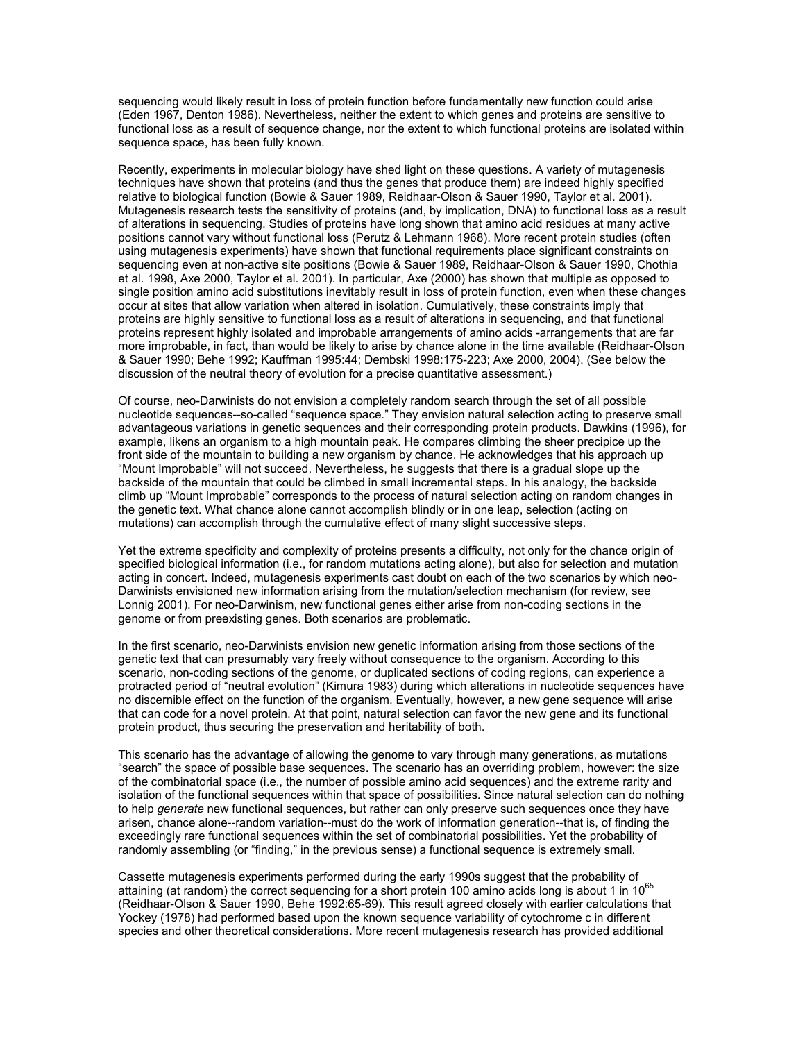sequencing would likely result in loss of protein function before fundamentally new function could arise (Eden 1967, Denton 1986). Nevertheless, neither the extent to which genes and proteins are sensitive to functional loss as a result of sequence change, nor the extent to which functional proteins are isolated within sequence space, has been fully known.

Recently, experiments in molecular biology have shed light on these questions. A variety of mutagenesis techniques have shown that proteins (and thus the genes that produce them) are indeed highly specified relative to biological function (Bowie & Sauer 1989, Reidhaar-Olson & Sauer 1990, Taylor et al. 2001). Mutagenesis research tests the sensitivity of proteins (and, by implication, DNA) to functional loss as a result of alterations in sequencing. Studies of proteins have long shown that amino acid residues at many active positions cannot vary without functional loss (Perutz & Lehmann 1968). More recent protein studies (often using mutagenesis experiments) have shown that functional requirements place significant constraints on sequencing even at non-active site positions (Bowie & Sauer 1989, Reidhaar-Olson & Sauer 1990, Chothia et al. 1998, Axe 2000, Taylor et al. 2001). In particular, Axe (2000) has shown that multiple as opposed to single position amino acid substitutions inevitably result in loss of protein function, even when these changes occur at sites that allow variation when altered in isolation. Cumulatively, these constraints imply that proteins are highly sensitive to functional loss as a result of alterations in sequencing, and that functional proteins represent highly isolated and improbable arrangements of amino acids -arrangements that are far more improbable, in fact, than would be likely to arise by chance alone in the time available (Reidhaar-Olson & Sauer 1990; Behe 1992; Kauffman 1995:44; Dembski 1998:175-223; Axe 2000, 2004). (See below the discussion of the neutral theory of evolution for a precise quantitative assessment.)

Of course, neo-Darwinists do not envision a completely random search through the set of all possible nucleotide sequences--so-called "sequence space." They envision natural selection acting to preserve small advantageous variations in genetic sequences and their corresponding protein products. Dawkins (1996), for example, likens an organism to a high mountain peak. He compares climbing the sheer precipice up the front side of the mountain to building a new organism by chance. He acknowledges that his approach up "Mount Improbable" will not succeed. Nevertheless, he suggests that there is a gradual slope up the backside of the mountain that could be climbed in small incremental steps. In his analogy, the backside climb up "Mount Improbable" corresponds to the process of natural selection acting on random changes in the genetic text. What chance alone cannot accomplish blindly or in one leap, selection (acting on mutations) can accomplish through the cumulative effect of many slight successive steps.

Yet the extreme specificity and complexity of proteins presents a difficulty, not only for the chance origin of specified biological information (i.e., for random mutations acting alone), but also for selection and mutation acting in concert. Indeed, mutagenesis experiments cast doubt on each of the two scenarios by which neo-Darwinists envisioned new information arising from the mutation/selection mechanism (for review, see Lonnig 2001). For neo-Darwinism, new functional genes either arise from non-coding sections in the genome or from preexisting genes. Both scenarios are problematic.

In the first scenario, neo-Darwinists envision new genetic information arising from those sections of the genetic text that can presumably vary freely without consequence to the organism. According to this scenario, non-coding sections of the genome, or duplicated sections of coding regions, can experience a protracted period of "neutral evolution" (Kimura 1983) during which alterations in nucleotide sequences have no discernible effect on the function of the organism. Eventually, however, a new gene sequence will arise that can code for a novel protein. At that point, natural selection can favor the new gene and its functional protein product, thus securing the preservation and heritability of both.

This scenario has the advantage of allowing the genome to vary through many generations, as mutations "search" the space of possible base sequences. The scenario has an overriding problem, however: the size of the combinatorial space (i.e., the number of possible amino acid sequences) and the extreme rarity and isolation of the functional sequences within that space of possibilities. Since natural selection can do nothing to help generate new functional sequences, but rather can only preserve such sequences once they have arisen, chance alone--random variation--must do the work of information generation--that is, of finding the exceedingly rare functional sequences within the set of combinatorial possibilities. Yet the probability of randomly assembling (or "finding," in the previous sense) a functional sequence is extremely small.

Cassette mutagenesis experiments performed during the early 1990s suggest that the probability of attaining (at random) the correct sequencing for a short protein 100 amino acids long is about 1 in 10<sup>65</sup> (Reidhaar-Olson & Sauer 1990, Behe 1992:65-69). This result agreed closely with earlier calculations that Yockey (1978) had performed based upon the known sequence variability of cytochrome c in different species and other theoretical considerations. More recent mutagenesis research has provided additional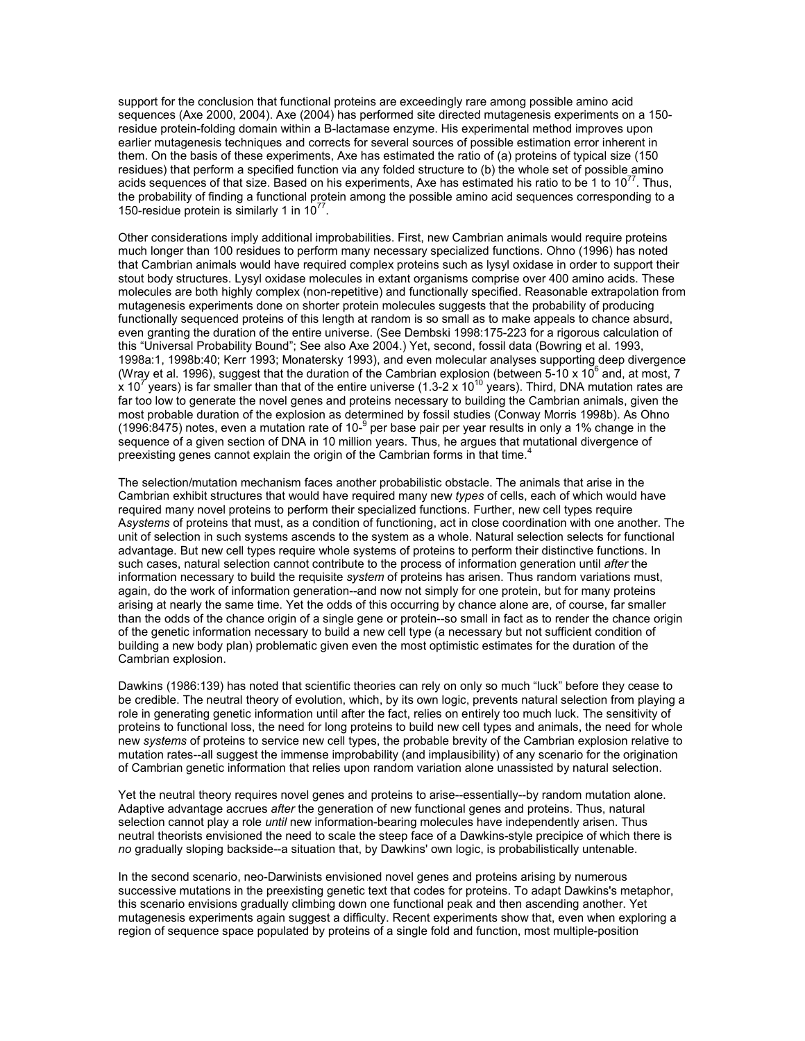support for the conclusion that functional proteins are exceedingly rare among possible amino acid sequences (Axe 2000, 2004). Axe (2004) has performed site directed mutagenesis experiments on a 150 residue protein-folding domain within a B-lactamase enzyme. His experimental method improves upon earlier mutagenesis techniques and corrects for several sources of possible estimation error inherent in them. On the basis of these experiments, Axe has estimated the ratio of (a) proteins of typical size (150 residues) that perform a specified function via any folded structure to (b) the whole set of possible amino acids sequences of that size. Based on his experiments, Axe has estimated his ratio to be 1 to 10<sup>77</sup>. Thus, the probability of finding a functional protein among the possible amino acid sequences corresponding to a 150-residue protein is similarly 1 in  $10^{77}$ .

Other considerations imply additional improbabilities. First, new Cambrian animals would require proteins much longer than 100 residues to perform many necessary specialized functions. Ohno (1996) has noted that Cambrian animals would have required complex proteins such as lysyl oxidase in order to support their stout body structures. Lysyl oxidase molecules in extant organisms comprise over 400 amino acids. These molecules are both highly complex (non-repetitive) and functionally specified. Reasonable extrapolation from mutagenesis experiments done on shorter protein molecules suggests that the probability of producing functionally sequenced proteins of this length at random is so small as to make appeals to chance absurd, even granting the duration of the entire universe. (See Dembski 1998:175-223 for a rigorous calculation of this "Universal Probability Bound"; See also Axe 2004.) Yet, second, fossil data (Bowring et al. 1993, 1998a:1, 1998b:40; Kerr 1993; Monatersky 1993), and even molecular analyses supporting deep divergence (Wray et al. 1996), suggest that the duration of the Cambrian explosion (between 5-10 x 10<sup>6</sup> and, at most, 7 x 10<sup>7</sup> years) is far smaller than that of the entire universe (1.3-2 x 10<sup>10</sup> years). Third, DNA mutation rates are far too low to generate the novel genes and proteins necessary to building the Cambrian animals, given the most probable duration of the explosion as determined by fossil studies (Conway Morris 1998b). As Ohno (1996:8475) notes, even a mutation rate of 10-<sup>9</sup> per base pair per year results in only a 1% change in the sequence of a given section of DNA in 10 million years. Thus, he argues that mutational divergence of preexisting genes cannot explain the origin of the Cambrian forms in that time.<sup>4</sup>

The selection/mutation mechanism faces another probabilistic obstacle. The animals that arise in the Cambrian exhibit structures that would have required many new types of cells, each of which would have required many novel proteins to perform their specialized functions. Further, new cell types require Asystems of proteins that must, as a condition of functioning, act in close coordination with one another. The unit of selection in such systems ascends to the system as a whole. Natural selection selects for functional advantage. But new cell types require whole systems of proteins to perform their distinctive functions. In such cases, natural selection cannot contribute to the process of information generation until after the information necessary to build the requisite system of proteins has arisen. Thus random variations must, again, do the work of information generation--and now not simply for one protein, but for many proteins arising at nearly the same time. Yet the odds of this occurring by chance alone are, of course, far smaller than the odds of the chance origin of a single gene or protein--so small in fact as to render the chance origin of the genetic information necessary to build a new cell type (a necessary but not sufficient condition of building a new body plan) problematic given even the most optimistic estimates for the duration of the Cambrian explosion.

Dawkins (1986:139) has noted that scientific theories can rely on only so much "luck" before they cease to be credible. The neutral theory of evolution, which, by its own logic, prevents natural selection from playing a role in generating genetic information until after the fact, relies on entirely too much luck. The sensitivity of proteins to functional loss, the need for long proteins to build new cell types and animals, the need for whole new systems of proteins to service new cell types, the probable brevity of the Cambrian explosion relative to mutation rates--all suggest the immense improbability (and implausibility) of any scenario for the origination of Cambrian genetic information that relies upon random variation alone unassisted by natural selection.

Yet the neutral theory requires novel genes and proteins to arise--essentially--by random mutation alone. Adaptive advantage accrues after the generation of new functional genes and proteins. Thus, natural selection cannot play a role *until* new information-bearing molecules have independently arisen. Thus neutral theorists envisioned the need to scale the steep face of a Dawkins-style precipice of which there is no gradually sloping backside--a situation that, by Dawkins' own logic, is probabilistically untenable.

In the second scenario, neo-Darwinists envisioned novel genes and proteins arising by numerous successive mutations in the preexisting genetic text that codes for proteins. To adapt Dawkins's metaphor, this scenario envisions gradually climbing down one functional peak and then ascending another. Yet mutagenesis experiments again suggest a difficulty. Recent experiments show that, even when exploring a region of sequence space populated by proteins of a single fold and function, most multiple-position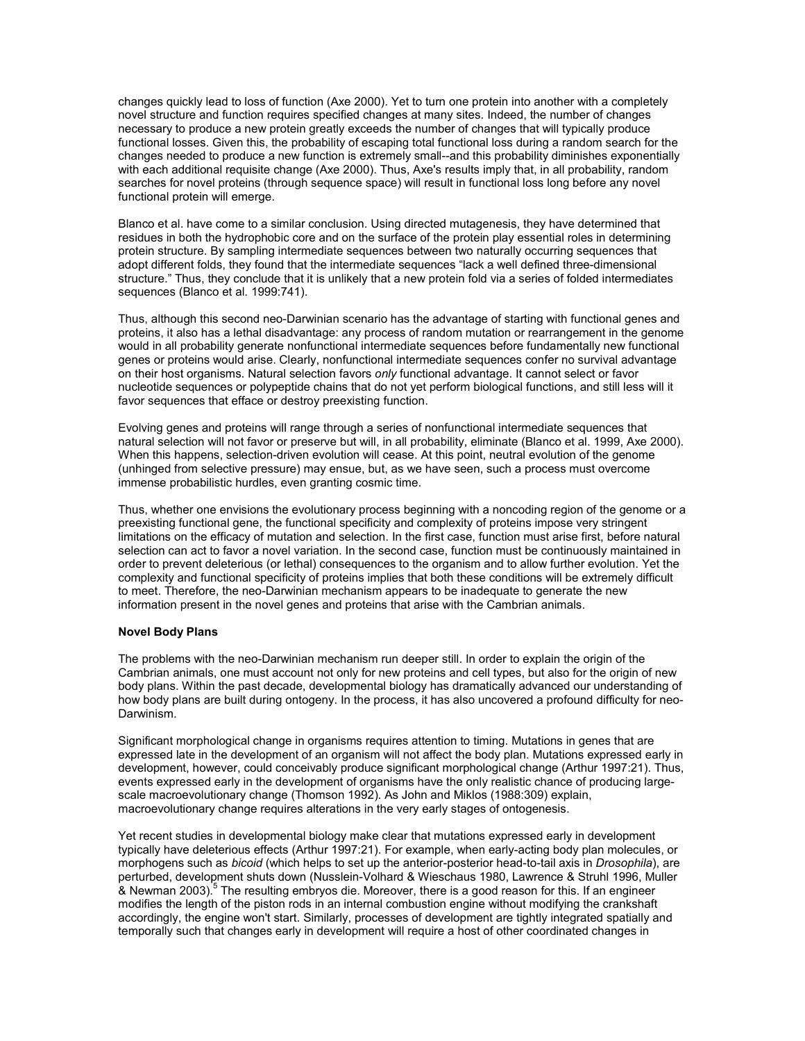changes quickly lead to loss of function (Axe 2000). Yet to turn one protein into another with a completely novel structure and function requires specified changes at many sites. Indeed, the number of changes necessary to produce a new protein greatly exceeds the number of changes that will typically produce functional losses. Given this, the probability of escaping total functional loss during a random search for the changes needed to produce a new function is extremely small--and this probability diminishes exponentially with each additional requisite change (Axe 2000). Thus, Axe's results imply that, in all probability, random searches for novel proteins (through sequence space) will result in functional loss long before any novel functional protein will emerge.

Blanco et al. have come to a similar conclusion. Using directed mutagenesis, they have determined that residues in both the hydrophobic core and on the surface of the protein play essential roles in determining protein structure. By sampling intermediate sequences between two naturally occurring sequences that adopt different folds, they found that the intermediate sequences "lack a well defined three-dimensional structure." Thus, they conclude that it is unlikely that a new protein fold via a series of folded intermediates sequences (Blanco et al. 1999:741).

Thus, although this second neo-Darwinian scenario has the advantage of starting with functional genes and proteins, it also has a lethal disadvantage: any process of random mutation or rearrangement in the genome would in all probability generate nonfunctional intermediate sequences before fundamentally new functional genes or proteins would arise. Clearly, nonfunctional intermediate sequences confer no survival advantage on their host organisms. Natural selection favors only functional advantage. It cannot select or favor nucleotide sequences or polypeptide chains that do not yet perform biological functions, and still less will it favor sequences that efface or destroy preexisting function.

Evolving genes and proteins will range through a series of nonfunctional intermediate sequences that natural selection will not favor or preserve but will, in all probability, eliminate (Blanco et al. 1999, Axe 2000). When this happens, selection-driven evolution will cease. At this point, neutral evolution of the genome (unhinged from selective pressure) may ensue, but, as we have seen, such a process must overcome immense probabilistic hurdles, even granting cosmic time.

Thus, whether one envisions the evolutionary process beginning with a noncoding region of the genome or a preexisting functional gene, the functional specificity and complexity of proteins impose very stringent limitations on the efficacy of mutation and selection. In the first case, function must arise first, before natural selection can act to favor a novel variation. In the second case, function must be continuously maintained in order to prevent deleterious (or lethal) consequences to the organism and to allow further evolution. Yet the complexity and functional specificity of proteins implies that both these conditions will be extremely difficult to meet. Therefore, the neo-Darwinian mechanism appears to be inadequate to generate the new information present in the novel genes and proteins that arise with the Cambrian animals.

# Novel Body Plans

The problems with the neo-Darwinian mechanism run deeper still. In order to explain the origin of the Cambrian animals, one must account not only for new proteins and cell types, but also for the origin of new body plans. Within the past decade, developmental biology has dramatically advanced our understanding of how body plans are built during ontogeny. In the process, it has also uncovered a profound difficulty for neo-Darwinism.

Significant morphological change in organisms requires attention to timing. Mutations in genes that are expressed late in the development of an organism will not affect the body plan. Mutations expressed early in development, however, could conceivably produce significant morphological change (Arthur 1997:21). Thus, events expressed early in the development of organisms have the only realistic chance of producing largescale macroevolutionary change (Thomson 1992). As John and Miklos (1988:309) explain, macroevolutionary change requires alterations in the very early stages of ontogenesis.

Yet recent studies in developmental biology make clear that mutations expressed early in development typically have deleterious effects (Arthur 1997:21). For example, when early-acting body plan molecules, or morphogens such as *bicoid* (which helps to set up the anterior-posterior head-to-tail axis in Drosophila), are perturbed, development shuts down (Nusslein-Volhard & Wieschaus 1980, Lawrence & Struhl 1996, Muller & Newman 2003).<sup>5</sup> The resulting embryos die. Moreover, there is a good reason for this. If an engineer modifies the length of the piston rods in an internal combustion engine without modifying the crankshaft accordingly, the engine won't start. Similarly, processes of development are tightly integrated spatially and temporally such that changes early in development will require a host of other coordinated changes in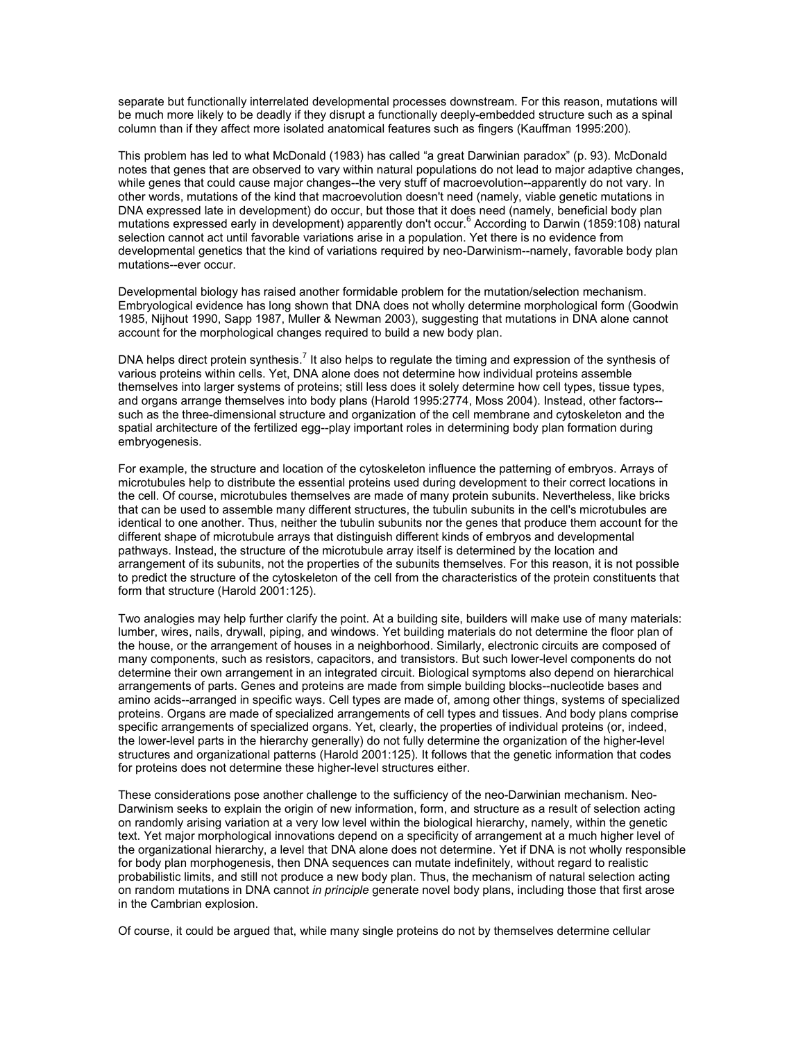separate but functionally interrelated developmental processes downstream. For this reason, mutations will be much more likely to be deadly if they disrupt a functionally deeply-embedded structure such as a spinal column than if they affect more isolated anatomical features such as fingers (Kauffman 1995:200).

This problem has led to what McDonald (1983) has called "a great Darwinian paradox" (p. 93). McDonald notes that genes that are observed to vary within natural populations do not lead to major adaptive changes, while genes that could cause major changes--the very stuff of macroevolution--apparently do not vary. In other words, mutations of the kind that macroevolution doesn't need (namely, viable genetic mutations in DNA expressed late in development) do occur, but those that it does need (namely, beneficial body plan mutations expressed early in development) apparently don't occur.<sup>6</sup> According to Darwin (1859:108) natural selection cannot act until favorable variations arise in a population. Yet there is no evidence from developmental genetics that the kind of variations required by neo-Darwinism--namely, favorable body plan mutations--ever occur.

Developmental biology has raised another formidable problem for the mutation/selection mechanism. Embryological evidence has long shown that DNA does not wholly determine morphological form (Goodwin 1985, Nijhout 1990, Sapp 1987, Muller & Newman 2003), suggesting that mutations in DNA alone cannot account for the morphological changes required to build a new body plan.

DNA helps direct protein synthesis.<sup>7</sup> It also helps to regulate the timing and expression of the synthesis of various proteins within cells. Yet, DNA alone does not determine how individual proteins assemble themselves into larger systems of proteins; still less does it solely determine how cell types, tissue types, and organs arrange themselves into body plans (Harold 1995:2774, Moss 2004). Instead, other factors- such as the three-dimensional structure and organization of the cell membrane and cytoskeleton and the spatial architecture of the fertilized egg--play important roles in determining body plan formation during embryogenesis.

For example, the structure and location of the cytoskeleton influence the patterning of embryos. Arrays of microtubules help to distribute the essential proteins used during development to their correct locations in the cell. Of course, microtubules themselves are made of many protein subunits. Nevertheless, like bricks that can be used to assemble many different structures, the tubulin subunits in the cell's microtubules are identical to one another. Thus, neither the tubulin subunits nor the genes that produce them account for the different shape of microtubule arrays that distinguish different kinds of embryos and developmental pathways. Instead, the structure of the microtubule array itself is determined by the location and arrangement of its subunits, not the properties of the subunits themselves. For this reason, it is not possible to predict the structure of the cytoskeleton of the cell from the characteristics of the protein constituents that form that structure (Harold 2001:125).

Two analogies may help further clarify the point. At a building site, builders will make use of many materials: lumber, wires, nails, drywall, piping, and windows. Yet building materials do not determine the floor plan of the house, or the arrangement of houses in a neighborhood. Similarly, electronic circuits are composed of many components, such as resistors, capacitors, and transistors. But such lower-level components do not determine their own arrangement in an integrated circuit. Biological symptoms also depend on hierarchical arrangements of parts. Genes and proteins are made from simple building blocks--nucleotide bases and amino acids--arranged in specific ways. Cell types are made of, among other things, systems of specialized proteins. Organs are made of specialized arrangements of cell types and tissues. And body plans comprise specific arrangements of specialized organs. Yet, clearly, the properties of individual proteins (or, indeed, the lower-level parts in the hierarchy generally) do not fully determine the organization of the higher-level structures and organizational patterns (Harold 2001:125). It follows that the genetic information that codes for proteins does not determine these higher-level structures either.

These considerations pose another challenge to the sufficiency of the neo-Darwinian mechanism. Neo-Darwinism seeks to explain the origin of new information, form, and structure as a result of selection acting on randomly arising variation at a very low level within the biological hierarchy, namely, within the genetic text. Yet major morphological innovations depend on a specificity of arrangement at a much higher level of the organizational hierarchy, a level that DNA alone does not determine. Yet if DNA is not wholly responsible for body plan morphogenesis, then DNA sequences can mutate indefinitely, without regard to realistic probabilistic limits, and still not produce a new body plan. Thus, the mechanism of natural selection acting on random mutations in DNA cannot in principle generate novel body plans, including those that first arose in the Cambrian explosion.

Of course, it could be argued that, while many single proteins do not by themselves determine cellular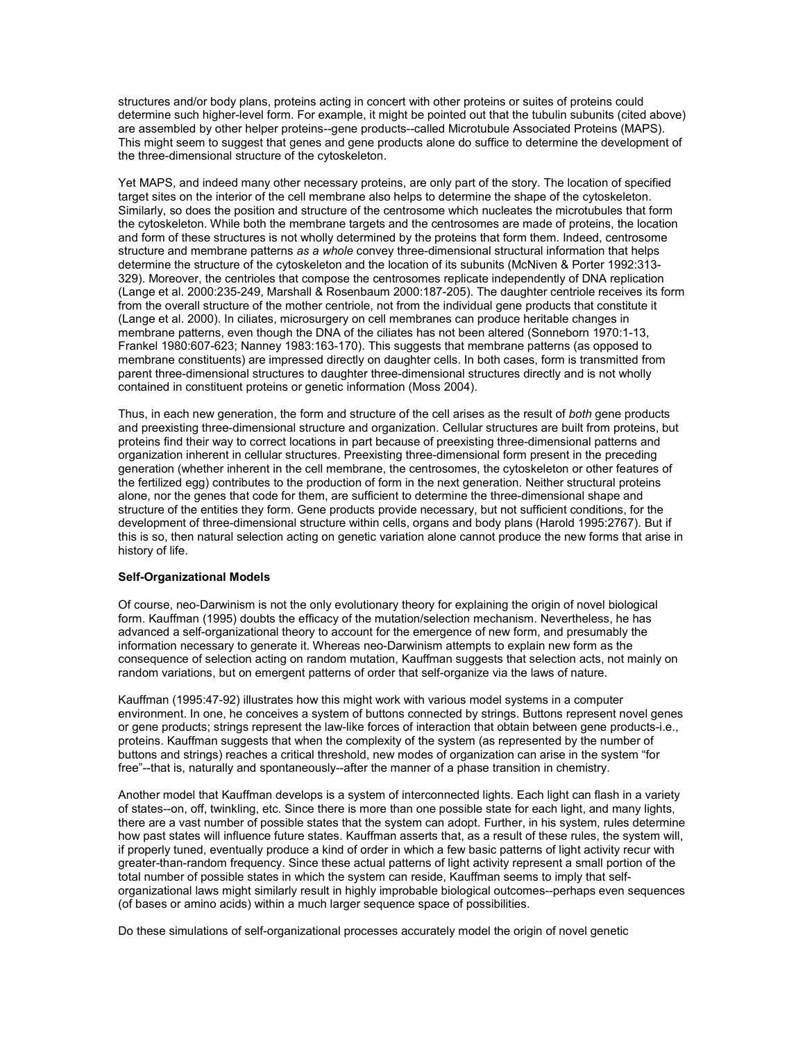structures and/or body plans, proteins acting in concert with other proteins or suites of proteins could determine such higher-level form. For example, it might be pointed out that the tubulin subunits (cited above) are assembled by other helper proteins--gene products--called Microtubule Associated Proteins (MAPS). This might seem to suggest that genes and gene products alone do suffice to determine the development of the three-dimensional structure of the cytoskeleton.

Yet MAPS, and indeed many other necessary proteins, are only part of the story. The location of specified target sites on the interior of the cell membrane also helps to determine the shape of the cytoskeleton. Similarly, so does the position and structure of the centrosome which nucleates the microtubules that form the cytoskeleton. While both the membrane targets and the centrosomes are made of proteins, the location and form of these structures is not wholly determined by the proteins that form them. Indeed, centrosome structure and membrane patterns as a whole convey three-dimensional structural information that helps determine the structure of the cytoskeleton and the location of its subunits (McNiven & Porter 1992:313- 329). Moreover, the centrioles that compose the centrosomes replicate independently of DNA replication (Lange et al. 2000:235-249, Marshall & Rosenbaum 2000:187-205). The daughter centriole receives its form from the overall structure of the mother centriole, not from the individual gene products that constitute it (Lange et al. 2000). In ciliates, microsurgery on cell membranes can produce heritable changes in membrane patterns, even though the DNA of the ciliates has not been altered (Sonneborn 1970:1-13, Frankel 1980:607-623; Nanney 1983:163-170). This suggests that membrane patterns (as opposed to membrane constituents) are impressed directly on daughter cells. In both cases, form is transmitted from parent three-dimensional structures to daughter three-dimensional structures directly and is not wholly contained in constituent proteins or genetic information (Moss 2004).

Thus, in each new generation, the form and structure of the cell arises as the result of both gene products and preexisting three-dimensional structure and organization. Cellular structures are built from proteins, but proteins find their way to correct locations in part because of preexisting three-dimensional patterns and organization inherent in cellular structures. Preexisting three-dimensional form present in the preceding generation (whether inherent in the cell membrane, the centrosomes, the cytoskeleton or other features of the fertilized egg) contributes to the production of form in the next generation. Neither structural proteins alone, nor the genes that code for them, are sufficient to determine the three-dimensional shape and structure of the entities they form. Gene products provide necessary, but not sufficient conditions, for the development of three-dimensional structure within cells, organs and body plans (Harold 1995:2767). But if this is so, then natural selection acting on genetic variation alone cannot produce the new forms that arise in history of life.

# Self-Organizational Models

Of course, neo-Darwinism is not the only evolutionary theory for explaining the origin of novel biological form. Kauffman (1995) doubts the efficacy of the mutation/selection mechanism. Nevertheless, he has advanced a self-organizational theory to account for the emergence of new form, and presumably the information necessary to generate it. Whereas neo-Darwinism attempts to explain new form as the consequence of selection acting on random mutation, Kauffman suggests that selection acts, not mainly on random variations, but on emergent patterns of order that self-organize via the laws of nature.

Kauffman (1995:47-92) illustrates how this might work with various model systems in a computer environment. In one, he conceives a system of buttons connected by strings. Buttons represent novel genes or gene products; strings represent the law-like forces of interaction that obtain between gene products-i.e., proteins. Kauffman suggests that when the complexity of the system (as represented by the number of buttons and strings) reaches a critical threshold, new modes of organization can arise in the system "for free"--that is, naturally and spontaneously--after the manner of a phase transition in chemistry.

Another model that Kauffman develops is a system of interconnected lights. Each light can flash in a variety of states--on, off, twinkling, etc. Since there is more than one possible state for each light, and many lights, there are a vast number of possible states that the system can adopt. Further, in his system, rules determine how past states will influence future states. Kauffman asserts that, as a result of these rules, the system will, if properly tuned, eventually produce a kind of order in which a few basic patterns of light activity recur with greater-than-random frequency. Since these actual patterns of light activity represent a small portion of the total number of possible states in which the system can reside, Kauffman seems to imply that selforganizational laws might similarly result in highly improbable biological outcomes--perhaps even sequences (of bases or amino acids) within a much larger sequence space of possibilities.

Do these simulations of self-organizational processes accurately model the origin of novel genetic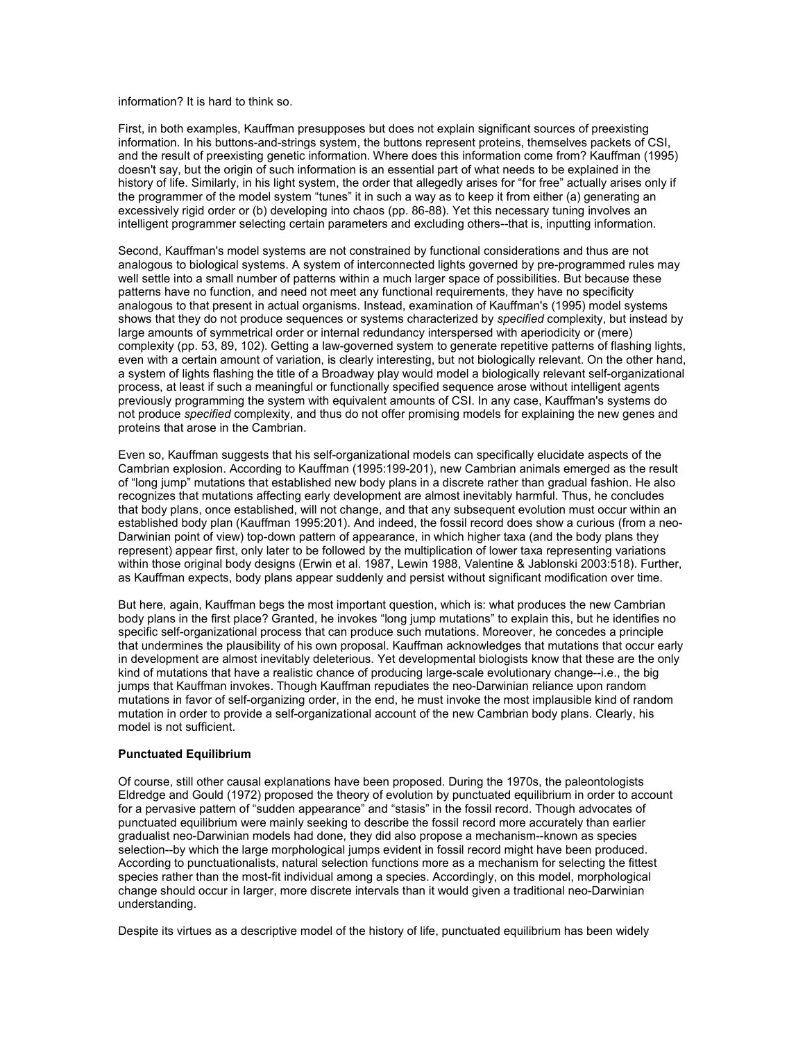#### information? It is hard to think so.

First, in both examples, Kauffman presupposes but does not explain significant sources of preexisting information. In his buttons-and-strings system, the buttons represent proteins, themselves packets of CSI, and the result of preexisting genetic information. Where does this information come from? Kauffman (1995) doesn't say, but the origin of such information is an essential part of what needs to be explained in the history of life. Similarly, in his light system, the order that allegedly arises for "for free" actually arises only if the programmer of the model system "tunes" it in such a way as to keep it from either (a) generating an excessively rigid order or (b) developing into chaos (pp. 86-88). Yet this necessary tuning involves an intelligent programmer selecting certain parameters and excluding others--that is, inputting information.

Second, Kauffman's model systems are not constrained by functional considerations and thus are not analogous to biological systems. A system of interconnected lights governed by pre-programmed rules may well settle into a small number of patterns within a much larger space of possibilities. But because these patterns have no function, and need not meet any functional requirements, they have no specificity analogous to that present in actual organisms. Instead, examination of Kauffman's (1995) model systems shows that they do not produce sequences or systems characterized by specified complexity, but instead by large amounts of symmetrical order or internal redundancy interspersed with aperiodicity or (mere) complexity (pp. 53, 89, 102). Getting a law-governed system to generate repetitive patterns of flashing lights, even with a certain amount of variation, is clearly interesting, but not biologically relevant. On the other hand, a system of lights flashing the title of a Broadway play would model a biologically relevant self-organizational process, at least if such a meaningful or functionally specified sequence arose without intelligent agents previously programming the system with equivalent amounts of CSI. In any case, Kauffman's systems do not produce specified complexity, and thus do not offer promising models for explaining the new genes and proteins that arose in the Cambrian.

Even so, Kauffman suggests that his self-organizational models can specifically elucidate aspects of the Cambrian explosion. According to Kauffman (1995:199-201), new Cambrian animals emerged as the result of "long jump" mutations that established new body plans in a discrete rather than gradual fashion. He also recognizes that mutations affecting early development are almost inevitably harmful. Thus, he concludes that body plans, once established, will not change, and that any subsequent evolution must occur within an established body plan (Kauffman 1995:201). And indeed, the fossil record does show a curious (from a neo-Darwinian point of view) top-down pattern of appearance, in which higher taxa (and the body plans they represent) appear first, only later to be followed by the multiplication of lower taxa representing variations within those original body designs (Erwin et al. 1987, Lewin 1988, Valentine & Jablonski 2003:518). Further, as Kauffman expects, body plans appear suddenly and persist without significant modification over time.

But here, again, Kauffman begs the most important question, which is: what produces the new Cambrian body plans in the first place? Granted, he invokes "long jump mutations" to explain this, but he identifies no specific self-organizational process that can produce such mutations. Moreover, he concedes a principle that undermines the plausibility of his own proposal. Kauffman acknowledges that mutations that occur early in development are almost inevitably deleterious. Yet developmental biologists know that these are the only kind of mutations that have a realistic chance of producing large-scale evolutionary change--i.e., the big jumps that Kauffman invokes. Though Kauffman repudiates the neo-Darwinian reliance upon random mutations in favor of self-organizing order, in the end, he must invoke the most implausible kind of random mutation in order to provide a self-organizational account of the new Cambrian body plans. Clearly, his model is not sufficient.

## Punctuated Equilibrium

Of course, still other causal explanations have been proposed. During the 1970s, the paleontologists Eldredge and Gould (1972) proposed the theory of evolution by punctuated equilibrium in order to account for a pervasive pattern of "sudden appearance" and "stasis" in the fossil record. Though advocates of punctuated equilibrium were mainly seeking to describe the fossil record more accurately than earlier gradualist neo-Darwinian models had done, they did also propose a mechanism--known as species selection--by which the large morphological jumps evident in fossil record might have been produced. According to punctuationalists, natural selection functions more as a mechanism for selecting the fittest species rather than the most-fit individual among a species. Accordingly, on this model, morphological change should occur in larger, more discrete intervals than it would given a traditional neo-Darwinian understanding.

Despite its virtues as a descriptive model of the history of life, punctuated equilibrium has been widely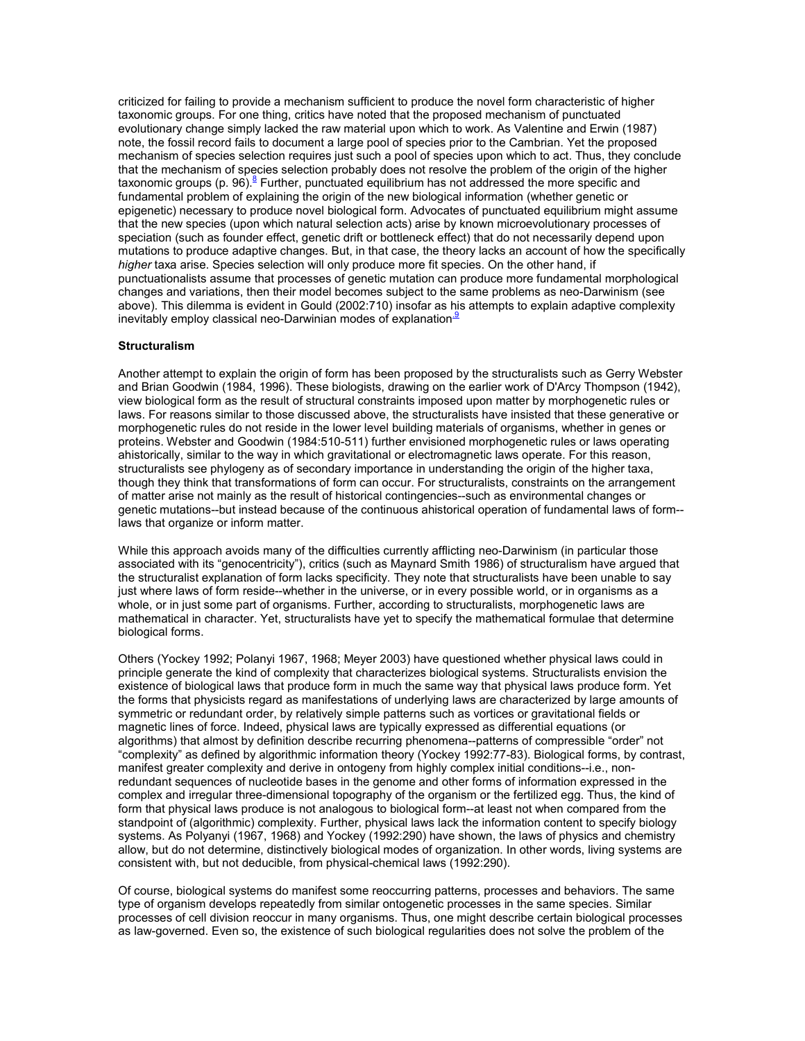criticized for failing to provide a mechanism sufficient to produce the novel form characteristic of higher taxonomic groups. For one thing, critics have noted that the proposed mechanism of punctuated evolutionary change simply lacked the raw material upon which to work. As Valentine and Erwin (1987) note, the fossil record fails to document a large pool of species prior to the Cambrian. Yet the proposed mechanism of species selection requires just such a pool of species upon which to act. Thus, they conclude that the mechanism of species selection probably does not resolve the problem of the origin of the higher taxonomic groups (p. 96).<sup>8</sup> Further, punctuated equilibrium has not addressed the more specific and fundamental problem of explaining the origin of the new biological information (whether genetic or epigenetic) necessary to produce novel biological form. Advocates of punctuated equilibrium might assume that the new species (upon which natural selection acts) arise by known microevolutionary processes of speciation (such as founder effect, genetic drift or bottleneck effect) that do not necessarily depend upon mutations to produce adaptive changes. But, in that case, the theory lacks an account of how the specifically higher taxa arise. Species selection will only produce more fit species. On the other hand, if punctuationalists assume that processes of genetic mutation can produce more fundamental morphological changes and variations, then their model becomes subject to the same problems as neo-Darwinism (see above). This dilemma is evident in Gould (2002:710) insofar as his attempts to explain adaptive complexity inevitably employ classical neo-Darwinian modes of explanation $\frac{9}{2}$ 

# **Structuralism**

Another attempt to explain the origin of form has been proposed by the structuralists such as Gerry Webster and Brian Goodwin (1984, 1996). These biologists, drawing on the earlier work of D'Arcy Thompson (1942), view biological form as the result of structural constraints imposed upon matter by morphogenetic rules or laws. For reasons similar to those discussed above, the structuralists have insisted that these generative or morphogenetic rules do not reside in the lower level building materials of organisms, whether in genes or proteins. Webster and Goodwin (1984:510-511) further envisioned morphogenetic rules or laws operating ahistorically, similar to the way in which gravitational or electromagnetic laws operate. For this reason, structuralists see phylogeny as of secondary importance in understanding the origin of the higher taxa, though they think that transformations of form can occur. For structuralists, constraints on the arrangement of matter arise not mainly as the result of historical contingencies--such as environmental changes or genetic mutations--but instead because of the continuous ahistorical operation of fundamental laws of form- laws that organize or inform matter.

While this approach avoids many of the difficulties currently afflicting neo-Darwinism (in particular those associated with its "genocentricity"), critics (such as Maynard Smith 1986) of structuralism have argued that the structuralist explanation of form lacks specificity. They note that structuralists have been unable to say just where laws of form reside--whether in the universe, or in every possible world, or in organisms as a whole, or in just some part of organisms. Further, according to structuralists, morphogenetic laws are mathematical in character. Yet, structuralists have yet to specify the mathematical formulae that determine biological forms.

Others (Yockey 1992; Polanyi 1967, 1968; Meyer 2003) have questioned whether physical laws could in principle generate the kind of complexity that characterizes biological systems. Structuralists envision the existence of biological laws that produce form in much the same way that physical laws produce form. Yet the forms that physicists regard as manifestations of underlying laws are characterized by large amounts of symmetric or redundant order, by relatively simple patterns such as vortices or gravitational fields or magnetic lines of force. Indeed, physical laws are typically expressed as differential equations (or algorithms) that almost by definition describe recurring phenomena--patterns of compressible "order" not "complexity" as defined by algorithmic information theory (Yockey 1992:77-83). Biological forms, by contrast, manifest greater complexity and derive in ontogeny from highly complex initial conditions--i.e., nonredundant sequences of nucleotide bases in the genome and other forms of information expressed in the complex and irregular three-dimensional topography of the organism or the fertilized egg. Thus, the kind of form that physical laws produce is not analogous to biological form--at least not when compared from the standpoint of (algorithmic) complexity. Further, physical laws lack the information content to specify biology systems. As Polyanyi (1967, 1968) and Yockey (1992:290) have shown, the laws of physics and chemistry allow, but do not determine, distinctively biological modes of organization. In other words, living systems are consistent with, but not deducible, from physical-chemical laws (1992:290).

Of course, biological systems do manifest some reoccurring patterns, processes and behaviors. The same type of organism develops repeatedly from similar ontogenetic processes in the same species. Similar processes of cell division reoccur in many organisms. Thus, one might describe certain biological processes as law-governed. Even so, the existence of such biological regularities does not solve the problem of the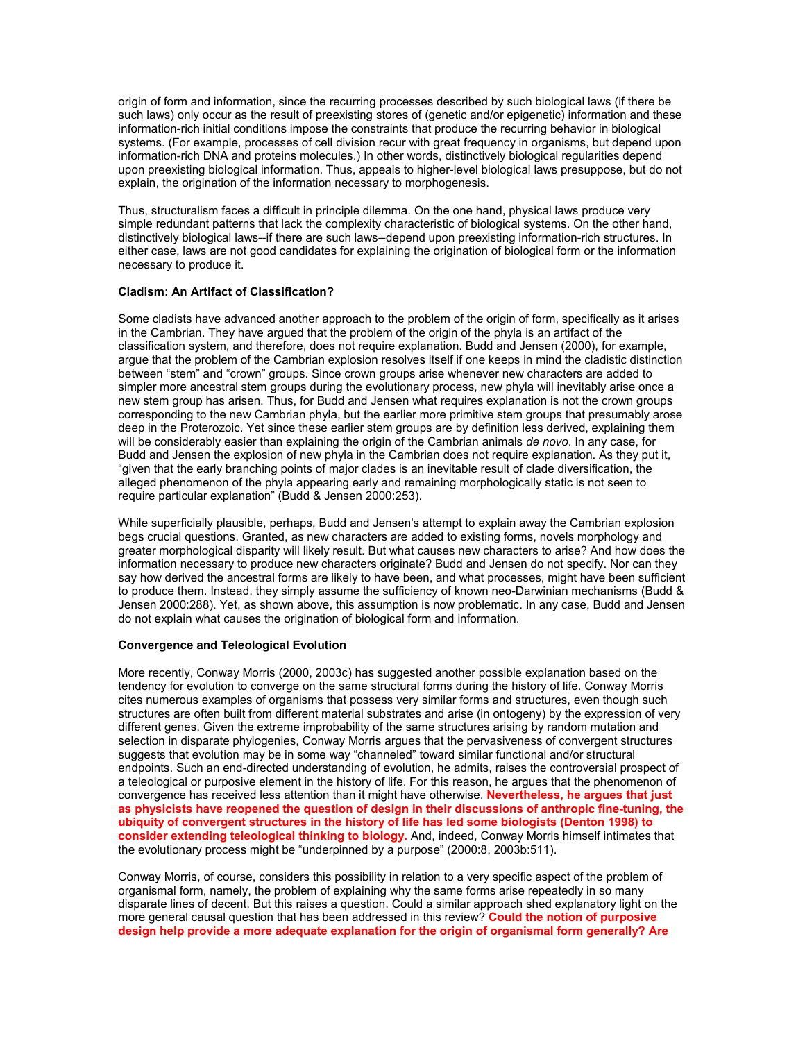origin of form and information, since the recurring processes described by such biological laws (if there be such laws) only occur as the result of preexisting stores of (genetic and/or epigenetic) information and these information-rich initial conditions impose the constraints that produce the recurring behavior in biological systems. (For example, processes of cell division recur with great frequency in organisms, but depend upon information-rich DNA and proteins molecules.) In other words, distinctively biological regularities depend upon preexisting biological information. Thus, appeals to higher-level biological laws presuppose, but do not explain, the origination of the information necessary to morphogenesis.

Thus, structuralism faces a difficult in principle dilemma. On the one hand, physical laws produce very simple redundant patterns that lack the complexity characteristic of biological systems. On the other hand, distinctively biological laws--if there are such laws--depend upon preexisting information-rich structures. In either case, laws are not good candidates for explaining the origination of biological form or the information necessary to produce it.

# Cladism: An Artifact of Classification?

Some cladists have advanced another approach to the problem of the origin of form, specifically as it arises in the Cambrian. They have argued that the problem of the origin of the phyla is an artifact of the classification system, and therefore, does not require explanation. Budd and Jensen (2000), for example, argue that the problem of the Cambrian explosion resolves itself if one keeps in mind the cladistic distinction between "stem" and "crown" groups. Since crown groups arise whenever new characters are added to simpler more ancestral stem groups during the evolutionary process, new phyla will inevitably arise once a new stem group has arisen. Thus, for Budd and Jensen what requires explanation is not the crown groups corresponding to the new Cambrian phyla, but the earlier more primitive stem groups that presumably arose deep in the Proterozoic. Yet since these earlier stem groups are by definition less derived, explaining them will be considerably easier than explaining the origin of the Cambrian animals de novo. In any case, for Budd and Jensen the explosion of new phyla in the Cambrian does not require explanation. As they put it, "given that the early branching points of major clades is an inevitable result of clade diversification, the alleged phenomenon of the phyla appearing early and remaining morphologically static is not seen to require particular explanation" (Budd & Jensen 2000:253).

While superficially plausible, perhaps, Budd and Jensen's attempt to explain away the Cambrian explosion begs crucial questions. Granted, as new characters are added to existing forms, novels morphology and greater morphological disparity will likely result. But what causes new characters to arise? And how does the information necessary to produce new characters originate? Budd and Jensen do not specify. Nor can they say how derived the ancestral forms are likely to have been, and what processes, might have been sufficient to produce them. Instead, they simply assume the sufficiency of known neo-Darwinian mechanisms (Budd & Jensen 2000:288). Yet, as shown above, this assumption is now problematic. In any case, Budd and Jensen do not explain what causes the origination of biological form and information.

## Convergence and Teleological Evolution

More recently, Conway Morris (2000, 2003c) has suggested another possible explanation based on the tendency for evolution to converge on the same structural forms during the history of life. Conway Morris cites numerous examples of organisms that possess very similar forms and structures, even though such structures are often built from different material substrates and arise (in ontogeny) by the expression of very different genes. Given the extreme improbability of the same structures arising by random mutation and selection in disparate phylogenies, Conway Morris argues that the pervasiveness of convergent structures suggests that evolution may be in some way "channeled" toward similar functional and/or structural endpoints. Such an end-directed understanding of evolution, he admits, raises the controversial prospect of a teleological or purposive element in the history of life. For this reason, he argues that the phenomenon of convergence has received less attention than it might have otherwise. Nevertheless, he argues that just as physicists have reopened the question of design in their discussions of anthropic fine-tuning, the ubiquity of convergent structures in the history of life has led some biologists (Denton 1998) to consider extending teleological thinking to biology. And, indeed, Conway Morris himself intimates that the evolutionary process might be "underpinned by a purpose" (2000:8, 2003b:511).

Conway Morris, of course, considers this possibility in relation to a very specific aspect of the problem of organismal form, namely, the problem of explaining why the same forms arise repeatedly in so many disparate lines of decent. But this raises a question. Could a similar approach shed explanatory light on the more general causal question that has been addressed in this review? Could the notion of purposive design help provide a more adequate explanation for the origin of organismal form generally? Are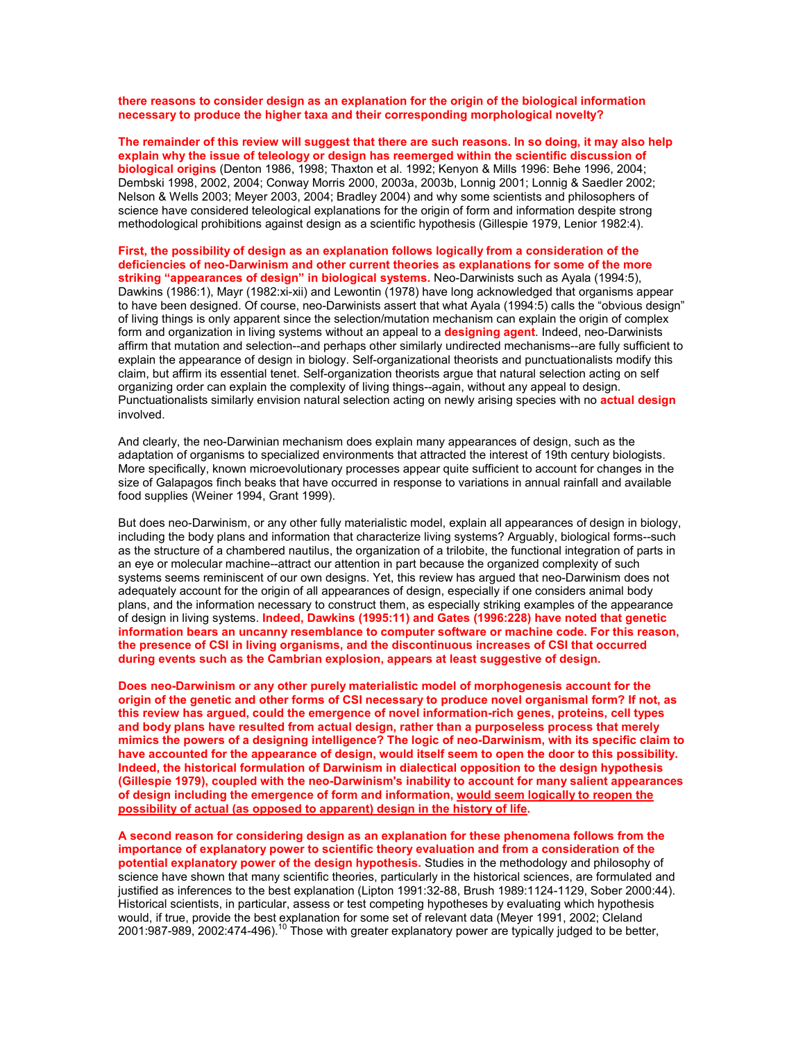there reasons to consider design as an explanation for the origin of the biological information necessary to produce the higher taxa and their corresponding morphological novelty?

The remainder of this review will suggest that there are such reasons. In so doing, it may also help explain why the issue of teleology or design has reemerged within the scientific discussion of biological origins (Denton 1986, 1998; Thaxton et al. 1992; Kenyon & Mills 1996: Behe 1996, 2004; Dembski 1998, 2002, 2004; Conway Morris 2000, 2003a, 2003b, Lonnig 2001; Lonnig & Saedler 2002; Nelson & Wells 2003; Meyer 2003, 2004; Bradley 2004) and why some scientists and philosophers of science have considered teleological explanations for the origin of form and information despite strong methodological prohibitions against design as a scientific hypothesis (Gillespie 1979, Lenior 1982:4).

First, the possibility of design as an explanation follows logically from a consideration of the deficiencies of neo-Darwinism and other current theories as explanations for some of the more striking "appearances of design" in biological systems. Neo-Darwinists such as Ayala (1994:5), Dawkins (1986:1), Mayr (1982:xi-xii) and Lewontin (1978) have long acknowledged that organisms appear to have been designed. Of course, neo-Darwinists assert that what Ayala (1994:5) calls the "obvious design" of living things is only apparent since the selection/mutation mechanism can explain the origin of complex form and organization in living systems without an appeal to a **designing agent**. Indeed, neo-Darwinists affirm that mutation and selection--and perhaps other similarly undirected mechanisms--are fully sufficient to explain the appearance of design in biology. Self-organizational theorists and punctuationalists modify this claim, but affirm its essential tenet. Self-organization theorists argue that natural selection acting on self organizing order can explain the complexity of living things--again, without any appeal to design. Punctuationalists similarly envision natural selection acting on newly arising species with no **actual design** involved.

And clearly, the neo-Darwinian mechanism does explain many appearances of design, such as the adaptation of organisms to specialized environments that attracted the interest of 19th century biologists. More specifically, known microevolutionary processes appear quite sufficient to account for changes in the size of Galapagos finch beaks that have occurred in response to variations in annual rainfall and available food supplies (Weiner 1994, Grant 1999).

But does neo-Darwinism, or any other fully materialistic model, explain all appearances of design in biology, including the body plans and information that characterize living systems? Arguably, biological forms--such as the structure of a chambered nautilus, the organization of a trilobite, the functional integration of parts in an eye or molecular machine--attract our attention in part because the organized complexity of such systems seems reminiscent of our own designs. Yet, this review has argued that neo-Darwinism does not adequately account for the origin of all appearances of design, especially if one considers animal body plans, and the information necessary to construct them, as especially striking examples of the appearance of design in living systems. Indeed, Dawkins (1995:11) and Gates (1996:228) have noted that genetic information bears an uncanny resemblance to computer software or machine code. For this reason, the presence of CSI in living organisms, and the discontinuous increases of CSI that occurred during events such as the Cambrian explosion, appears at least suggestive of design.

Does neo-Darwinism or any other purely materialistic model of morphogenesis account for the origin of the genetic and other forms of CSI necessary to produce novel organismal form? If not, as this review has argued, could the emergence of novel information-rich genes, proteins, cell types and body plans have resulted from actual design, rather than a purposeless process that merely mimics the powers of a designing intelligence? The logic of neo-Darwinism, with its specific claim to have accounted for the appearance of design, would itself seem to open the door to this possibility. Indeed, the historical formulation of Darwinism in dialectical opposition to the design hypothesis (Gillespie 1979), coupled with the neo-Darwinism's inability to account for many salient appearances of design including the emergence of form and information, would seem logically to reopen the possibility of actual (as opposed to apparent) design in the history of life.

A second reason for considering design as an explanation for these phenomena follows from the importance of explanatory power to scientific theory evaluation and from a consideration of the potential explanatory power of the design hypothesis. Studies in the methodology and philosophy of science have shown that many scientific theories, particularly in the historical sciences, are formulated and justified as inferences to the best explanation (Lipton 1991:32-88, Brush 1989:1124-1129, Sober 2000:44). Historical scientists, in particular, assess or test competing hypotheses by evaluating which hypothesis would, if true, provide the best explanation for some set of relevant data (Meyer 1991, 2002; Cleland 2001:987-989, 2002:474-496).<sup>10</sup> Those with greater explanatory power are typically judged to be better,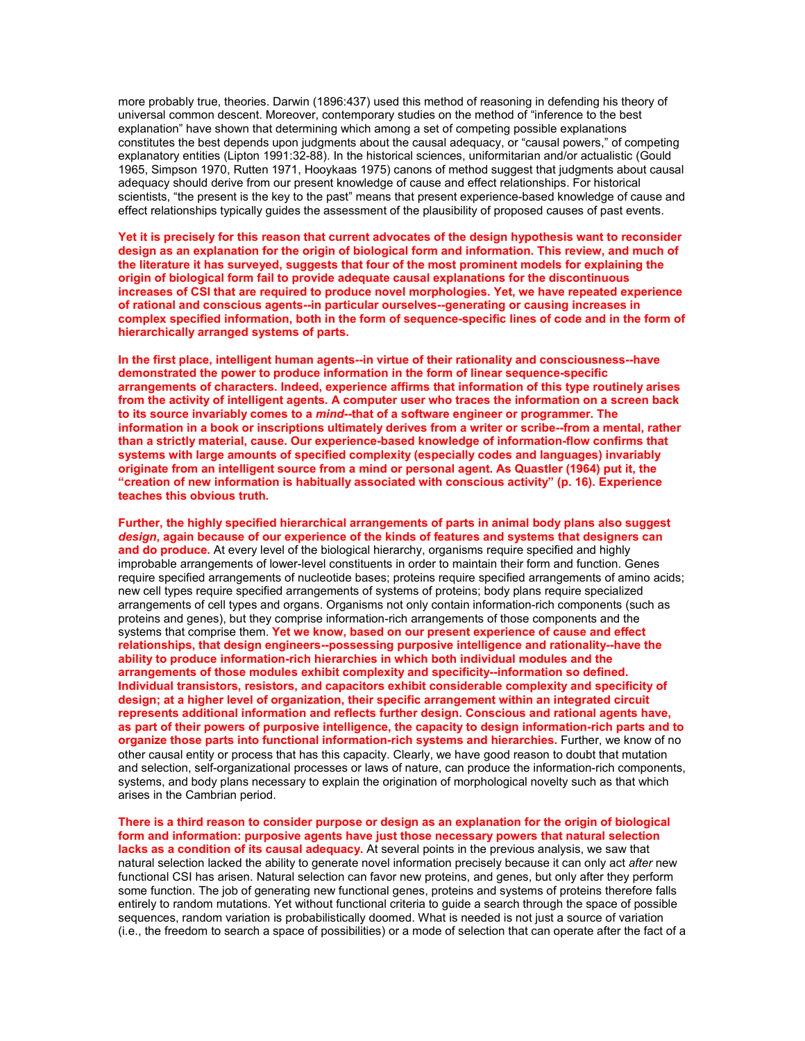more probably true, theories. Darwin (1896:437) used this method of reasoning in defending his theory of universal common descent. Moreover, contemporary studies on the method of "inference to the best explanation" have shown that determining which among a set of competing possible explanations constitutes the best depends upon judgments about the causal adequacy, or "causal powers," of competing explanatory entities (Lipton 1991:32-88). In the historical sciences, uniformitarian and/or actualistic (Gould 1965, Simpson 1970, Rutten 1971, Hooykaas 1975) canons of method suggest that judgments about causal adequacy should derive from our present knowledge of cause and effect relationships. For historical scientists, "the present is the key to the past" means that present experience-based knowledge of cause and effect relationships typically guides the assessment of the plausibility of proposed causes of past events.

Yet it is precisely for this reason that current advocates of the design hypothesis want to reconsider design as an explanation for the origin of biological form and information. This review, and much of the literature it has surveyed, suggests that four of the most prominent models for explaining the origin of biological form fail to provide adequate causal explanations for the discontinuous increases of CSI that are required to produce novel morphologies. Yet, we have repeated experience of rational and conscious agents--in particular ourselves--generating or causing increases in complex specified information, both in the form of sequence-specific lines of code and in the form of hierarchically arranged systems of parts.

In the first place, intelligent human agents--in virtue of their rationality and consciousness--have demonstrated the power to produce information in the form of linear sequence-specific arrangements of characters. Indeed, experience affirms that information of this type routinely arises from the activity of intelligent agents. A computer user who traces the information on a screen back to its source invariably comes to a *mind*--that of a software engineer or programmer. The information in a book or inscriptions ultimately derives from a writer or scribe--from a mental, rather than a strictly material, cause. Our experience-based knowledge of information-flow confirms that systems with large amounts of specified complexity (especially codes and languages) invariably originate from an intelligent source from a mind or personal agent. As Quastler (1964) put it, the "creation of new information is habitually associated with conscious activity" (p. 16). Experience teaches this obvious truth.

Further, the highly specified hierarchical arrangements of parts in animal body plans also suggest design, again because of our experience of the kinds of features and systems that designers can and do produce. At every level of the biological hierarchy, organisms require specified and highly improbable arrangements of lower-level constituents in order to maintain their form and function. Genes require specified arrangements of nucleotide bases; proteins require specified arrangements of amino acids; new cell types require specified arrangements of systems of proteins; body plans require specialized arrangements of cell types and organs. Organisms not only contain information-rich components (such as proteins and genes), but they comprise information-rich arrangements of those components and the systems that comprise them. Yet we know, based on our present experience of cause and effect relationships, that design engineers--possessing purposive intelligence and rationality--have the ability to produce information-rich hierarchies in which both individual modules and the arrangements of those modules exhibit complexity and specificity--information so defined. Individual transistors, resistors, and capacitors exhibit considerable complexity and specificity of design; at a higher level of organization, their specific arrangement within an integrated circuit represents additional information and reflects further design. Conscious and rational agents have, as part of their powers of purposive intelligence, the capacity to design information-rich parts and to organize those parts into functional information-rich systems and hierarchies. Further, we know of no other causal entity or process that has this capacity. Clearly, we have good reason to doubt that mutation and selection, self-organizational processes or laws of nature, can produce the information-rich components, systems, and body plans necessary to explain the origination of morphological novelty such as that which arises in the Cambrian period.

There is a third reason to consider purpose or design as an explanation for the origin of biological form and information: purposive agents have just those necessary powers that natural selection lacks as a condition of its causal adequacy. At several points in the previous analysis, we saw that natural selection lacked the ability to generate novel information precisely because it can only act after new functional CSI has arisen. Natural selection can favor new proteins, and genes, but only after they perform some function. The job of generating new functional genes, proteins and systems of proteins therefore falls entirely to random mutations. Yet without functional criteria to guide a search through the space of possible sequences, random variation is probabilistically doomed. What is needed is not just a source of variation (i.e., the freedom to search a space of possibilities) or a mode of selection that can operate after the fact of a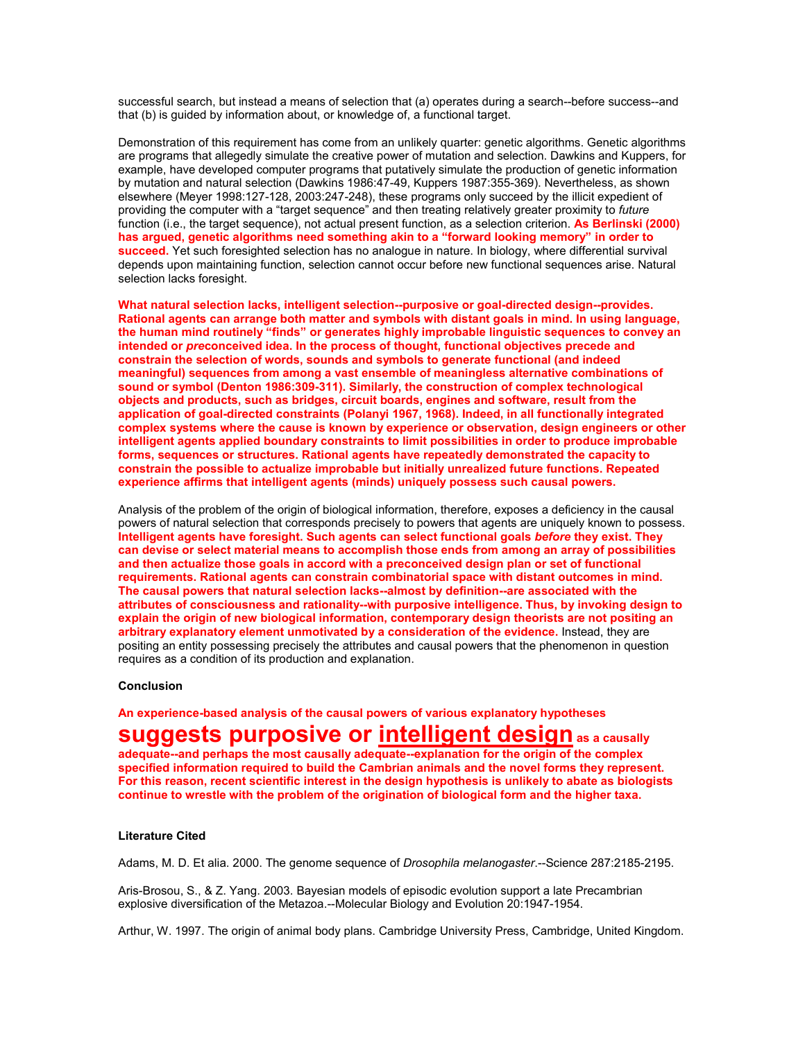successful search, but instead a means of selection that (a) operates during a search--before success--and that (b) is guided by information about, or knowledge of, a functional target.

Demonstration of this requirement has come from an unlikely quarter: genetic algorithms. Genetic algorithms are programs that allegedly simulate the creative power of mutation and selection. Dawkins and Kuppers, for example, have developed computer programs that putatively simulate the production of genetic information by mutation and natural selection (Dawkins 1986:47-49, Kuppers 1987:355-369). Nevertheless, as shown elsewhere (Meyer 1998:127-128, 2003:247-248), these programs only succeed by the illicit expedient of providing the computer with a "target sequence" and then treating relatively greater proximity to future function (i.e., the target sequence), not actual present function, as a selection criterion. As Berlinski (2000) has argued, genetic algorithms need something akin to a "forward looking memory" in order to succeed. Yet such foresighted selection has no analogue in nature. In biology, where differential survival depends upon maintaining function, selection cannot occur before new functional sequences arise. Natural selection lacks foresight.

What natural selection lacks, intelligent selection--purposive or goal-directed design--provides. Rational agents can arrange both matter and symbols with distant goals in mind. In using language, the human mind routinely "finds" or generates highly improbable linguistic sequences to convey an intended or preconceived idea. In the process of thought, functional objectives precede and constrain the selection of words, sounds and symbols to generate functional (and indeed meaningful) sequences from among a vast ensemble of meaningless alternative combinations of sound or symbol (Denton 1986:309-311). Similarly, the construction of complex technological objects and products, such as bridges, circuit boards, engines and software, result from the application of goal-directed constraints (Polanyi 1967, 1968). Indeed, in all functionally integrated complex systems where the cause is known by experience or observation, design engineers or other intelligent agents applied boundary constraints to limit possibilities in order to produce improbable forms, sequences or structures. Rational agents have repeatedly demonstrated the capacity to constrain the possible to actualize improbable but initially unrealized future functions. Repeated experience affirms that intelligent agents (minds) uniquely possess such causal powers.

Analysis of the problem of the origin of biological information, therefore, exposes a deficiency in the causal powers of natural selection that corresponds precisely to powers that agents are uniquely known to possess. Intelligent agents have foresight. Such agents can select functional goals before they exist. They can devise or select material means to accomplish those ends from among an array of possibilities and then actualize those goals in accord with a preconceived design plan or set of functional requirements. Rational agents can constrain combinatorial space with distant outcomes in mind. The causal powers that natural selection lacks--almost by definition--are associated with the attributes of consciousness and rationality--with purposive intelligence. Thus, by invoking design to explain the origin of new biological information, contemporary design theorists are not positing an arbitrary explanatory element unmotivated by a consideration of the evidence. Instead, they are positing an entity possessing precisely the attributes and causal powers that the phenomenon in question requires as a condition of its production and explanation.

# **Conclusion**

An experience-based analysis of the causal powers of various explanatory hypotheses

**suggests purposive or intelligent design as a causally** adequate--and perhaps the most causally adequate--explanation for the origin of the complex specified information required to build the Cambrian animals and the novel forms they represent. For this reason, recent scientific interest in the design hypothesis is unlikely to abate as biologists continue to wrestle with the problem of the origination of biological form and the higher taxa.

## Literature Cited

Adams, M. D. Et alia. 2000. The genome sequence of Drosophila melanogaster.--Science 287:2185-2195.

Aris-Brosou, S., & Z. Yang. 2003. Bayesian models of episodic evolution support a late Precambrian explosive diversification of the Metazoa.--Molecular Biology and Evolution 20:1947-1954.

Arthur, W. 1997. The origin of animal body plans. Cambridge University Press, Cambridge, United Kingdom.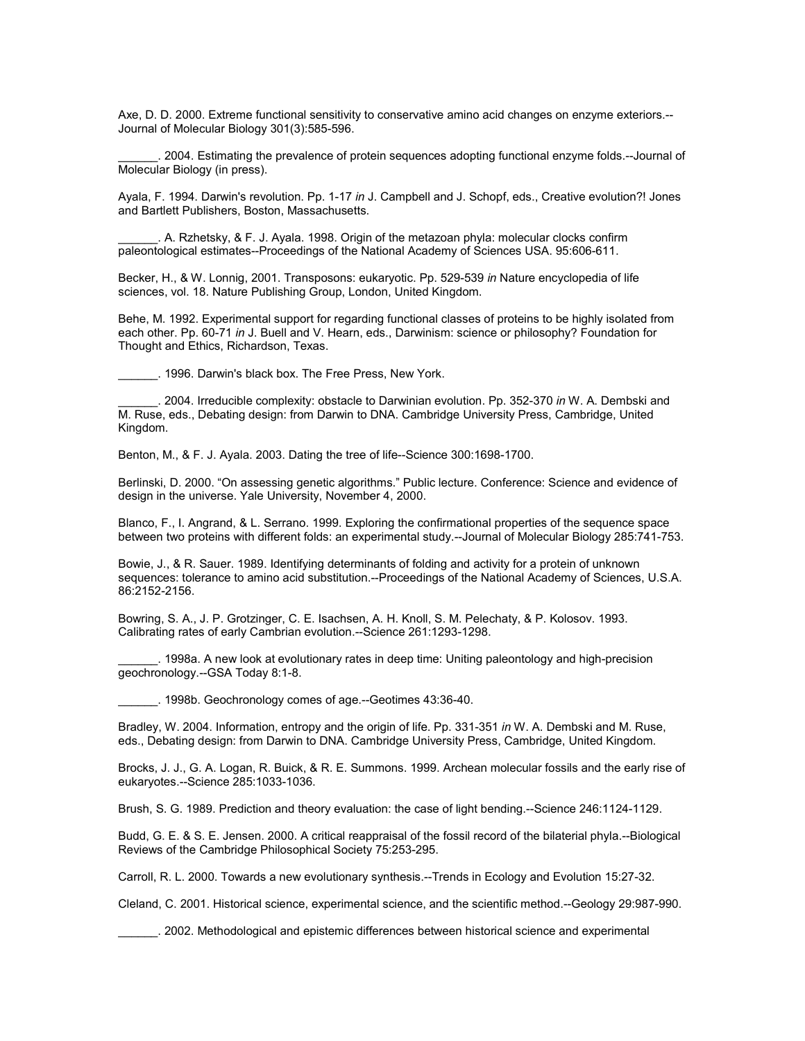Axe, D. D. 2000. Extreme functional sensitivity to conservative amino acid changes on enzyme exteriors.-- Journal of Molecular Biology 301(3):585-596.

\_\_\_\_\_\_. 2004. Estimating the prevalence of protein sequences adopting functional enzyme folds.--Journal of Molecular Biology (in press).

Ayala, F. 1994. Darwin's revolution. Pp. 1-17 in J. Campbell and J. Schopf, eds., Creative evolution?! Jones and Bartlett Publishers, Boston, Massachusetts.

. A. Rzhetsky, & F. J. Ayala. 1998. Origin of the metazoan phyla: molecular clocks confirm paleontological estimates--Proceedings of the National Academy of Sciences USA. 95:606-611.

Becker, H., & W. Lonnig, 2001. Transposons: eukaryotic. Pp. 529-539 in Nature encyclopedia of life sciences, vol. 18. Nature Publishing Group, London, United Kingdom.

Behe, M. 1992. Experimental support for regarding functional classes of proteins to be highly isolated from each other. Pp. 60-71 in J. Buell and V. Hearn, eds., Darwinism: science or philosophy? Foundation for Thought and Ethics, Richardson, Texas.

\_\_\_\_\_\_. 1996. Darwin's black box. The Free Press, New York.

. 2004. Irreducible complexity: obstacle to Darwinian evolution. Pp. 352-370 in W. A. Dembski and M. Ruse, eds., Debating design: from Darwin to DNA. Cambridge University Press, Cambridge, United Kingdom.

Benton, M., & F. J. Ayala. 2003. Dating the tree of life--Science 300:1698-1700.

Berlinski, D. 2000. "On assessing genetic algorithms." Public lecture. Conference: Science and evidence of design in the universe. Yale University, November 4, 2000.

Blanco, F., I. Angrand, & L. Serrano. 1999. Exploring the confirmational properties of the sequence space between two proteins with different folds: an experimental study.--Journal of Molecular Biology 285:741-753.

Bowie, J., & R. Sauer. 1989. Identifying determinants of folding and activity for a protein of unknown sequences: tolerance to amino acid substitution.--Proceedings of the National Academy of Sciences, U.S.A. 86:2152-2156.

Bowring, S. A., J. P. Grotzinger, C. E. Isachsen, A. H. Knoll, S. M. Pelechaty, & P. Kolosov. 1993. Calibrating rates of early Cambrian evolution.--Science 261:1293-1298.

\_\_\_\_\_\_. 1998a. A new look at evolutionary rates in deep time: Uniting paleontology and high-precision geochronology.--GSA Today 8:1-8.

\_\_\_\_\_\_. 1998b. Geochronology comes of age.--Geotimes 43:36-40.

Bradley, W. 2004. Information, entropy and the origin of life. Pp. 331-351 in W. A. Dembski and M. Ruse, eds., Debating design: from Darwin to DNA. Cambridge University Press, Cambridge, United Kingdom.

Brocks, J. J., G. A. Logan, R. Buick, & R. E. Summons. 1999. Archean molecular fossils and the early rise of eukaryotes.--Science 285:1033-1036.

Brush, S. G. 1989. Prediction and theory evaluation: the case of light bending.--Science 246:1124-1129.

Budd, G. E. & S. E. Jensen. 2000. A critical reappraisal of the fossil record of the bilaterial phyla.--Biological Reviews of the Cambridge Philosophical Society 75:253-295.

Carroll, R. L. 2000. Towards a new evolutionary synthesis.--Trends in Ecology and Evolution 15:27-32.

Cleland, C. 2001. Historical science, experimental science, and the scientific method.--Geology 29:987-990.

\_\_\_\_\_\_. 2002. Methodological and epistemic differences between historical science and experimental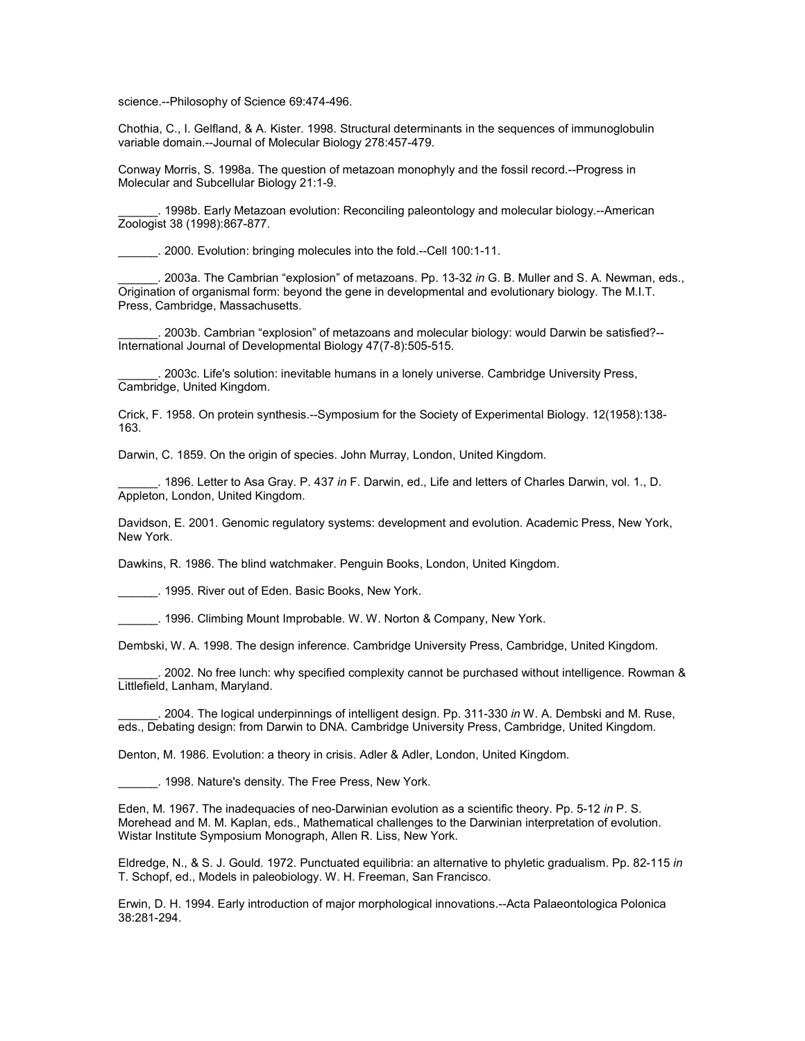science.--Philosophy of Science 69:474-496.

Chothia, C., I. Gelfland, & A. Kister. 1998. Structural determinants in the sequences of immunoglobulin variable domain.--Journal of Molecular Biology 278:457-479.

Conway Morris, S. 1998a. The question of metazoan monophyly and the fossil record.--Progress in Molecular and Subcellular Biology 21:1-9.

\_\_\_\_\_\_. 1998b. Early Metazoan evolution: Reconciling paleontology and molecular biology.--American Zoologist 38 (1998):867-877.

\_\_\_\_\_\_. 2000. Evolution: bringing molecules into the fold.--Cell 100:1-11.

. 2003a. The Cambrian "explosion" of metazoans. Pp. 13-32 in G. B. Muller and S. A. Newman, eds., Origination of organismal form: beyond the gene in developmental and evolutionary biology. The M.I.T. Press, Cambridge, Massachusetts.

\_\_\_\_\_\_. 2003b. Cambrian "explosion" of metazoans and molecular biology: would Darwin be satisfied?-- International Journal of Developmental Biology 47(7-8):505-515.

\_\_\_\_\_\_. 2003c. Life's solution: inevitable humans in a lonely universe. Cambridge University Press, Cambridge, United Kingdom.

Crick, F. 1958. On protein synthesis.--Symposium for the Society of Experimental Biology. 12(1958):138- 163.

Darwin, C. 1859. On the origin of species. John Murray, London, United Kingdom.

\_\_\_\_\_\_. 1896. Letter to Asa Gray. P. 437 in F. Darwin, ed., Life and letters of Charles Darwin, vol. 1., D. Appleton, London, United Kingdom.

Davidson, E. 2001. Genomic regulatory systems: development and evolution. Academic Press, New York, New York.

Dawkins, R. 1986. The blind watchmaker. Penguin Books, London, United Kingdom.

\_\_\_\_\_\_. 1995. River out of Eden. Basic Books, New York.

\_\_\_\_\_\_. 1996. Climbing Mount Improbable. W. W. Norton & Company, New York.

Dembski, W. A. 1998. The design inference. Cambridge University Press, Cambridge, United Kingdom.

2002. No free lunch: why specified complexity cannot be purchased without intelligence. Rowman & Littlefield, Lanham, Maryland.

2004. The logical underpinnings of intelligent design. Pp. 311-330 in W. A. Dembski and M. Ruse, eds., Debating design: from Darwin to DNA. Cambridge University Press, Cambridge, United Kingdom.

Denton, M. 1986. Evolution: a theory in crisis. Adler & Adler, London, United Kingdom.

1998. Nature's density. The Free Press, New York.

Eden, M. 1967. The inadequacies of neo-Darwinian evolution as a scientific theory. Pp. 5-12 in P. S. Morehead and M. M. Kaplan, eds., Mathematical challenges to the Darwinian interpretation of evolution. Wistar Institute Symposium Monograph, Allen R. Liss, New York.

Eldredge, N., & S. J. Gould. 1972. Punctuated equilibria: an alternative to phyletic gradualism. Pp. 82-115 in T. Schopf, ed., Models in paleobiology. W. H. Freeman, San Francisco.

Erwin, D. H. 1994. Early introduction of major morphological innovations.--Acta Palaeontologica Polonica 38:281-294.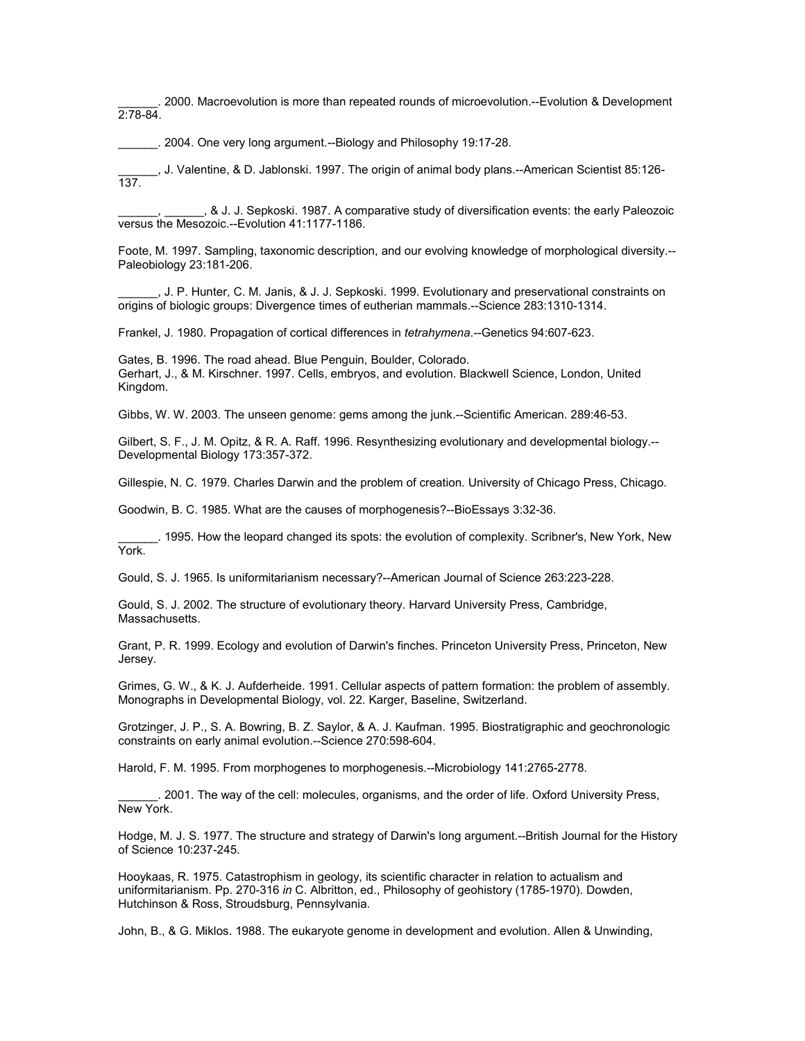\_\_\_\_\_\_. 2000. Macroevolution is more than repeated rounds of microevolution.--Evolution & Development  $2:78-84.$ 

\_\_\_\_\_\_. 2004. One very long argument.--Biology and Philosophy 19:17-28.

\_\_\_\_\_\_, J. Valentine, & D. Jablonski. 1997. The origin of animal body plans.--American Scientist 85:126- 137.

\_\_\_\_\_\_, \_\_\_\_\_\_, & J. J. Sepkoski. 1987. A comparative study of diversification events: the early Paleozoic versus the Mesozoic.--Evolution 41:1177-1186.

Foote, M. 1997. Sampling, taxonomic description, and our evolving knowledge of morphological diversity.-- Paleobiology 23:181-206.

\_\_\_\_\_\_, J. P. Hunter, C. M. Janis, & J. J. Sepkoski. 1999. Evolutionary and preservational constraints on origins of biologic groups: Divergence times of eutherian mammals.--Science 283:1310-1314.

Frankel, J. 1980. Propagation of cortical differences in tetrahymena.--Genetics 94:607-623.

Gates, B. 1996. The road ahead. Blue Penguin, Boulder, Colorado. Gerhart, J., & M. Kirschner. 1997. Cells, embryos, and evolution. Blackwell Science, London, United Kingdom.

Gibbs, W. W. 2003. The unseen genome: gems among the junk.--Scientific American. 289:46-53.

Gilbert, S. F., J. M. Opitz, & R. A. Raff. 1996. Resynthesizing evolutionary and developmental biology.-- Developmental Biology 173:357-372.

Gillespie, N. C. 1979. Charles Darwin and the problem of creation. University of Chicago Press, Chicago.

Goodwin, B. C. 1985. What are the causes of morphogenesis?--BioEssays 3:32-36.

\_\_\_\_\_\_. 1995. How the leopard changed its spots: the evolution of complexity. Scribner's, New York, New York.

Gould, S. J. 1965. Is uniformitarianism necessary?--American Journal of Science 263:223-228.

Gould, S. J. 2002. The structure of evolutionary theory. Harvard University Press, Cambridge, Massachusetts.

Grant, P. R. 1999. Ecology and evolution of Darwin's finches. Princeton University Press, Princeton, New Jersey.

Grimes, G. W., & K. J. Aufderheide. 1991. Cellular aspects of pattern formation: the problem of assembly. Monographs in Developmental Biology, vol. 22. Karger, Baseline, Switzerland.

Grotzinger, J. P., S. A. Bowring, B. Z. Saylor, & A. J. Kaufman. 1995. Biostratigraphic and geochronologic constraints on early animal evolution.--Science 270:598-604.

Harold, F. M. 1995. From morphogenes to morphogenesis.--Microbiology 141:2765-2778.

\_\_\_\_\_\_. 2001. The way of the cell: molecules, organisms, and the order of life. Oxford University Press, New York.

Hodge, M. J. S. 1977. The structure and strategy of Darwin's long argument.--British Journal for the History of Science 10:237-245.

Hooykaas, R. 1975. Catastrophism in geology, its scientific character in relation to actualism and uniformitarianism. Pp. 270-316 in C. Albritton, ed., Philosophy of geohistory (1785-1970). Dowden, Hutchinson & Ross, Stroudsburg, Pennsylvania.

John, B., & G. Miklos. 1988. The eukaryote genome in development and evolution. Allen & Unwinding,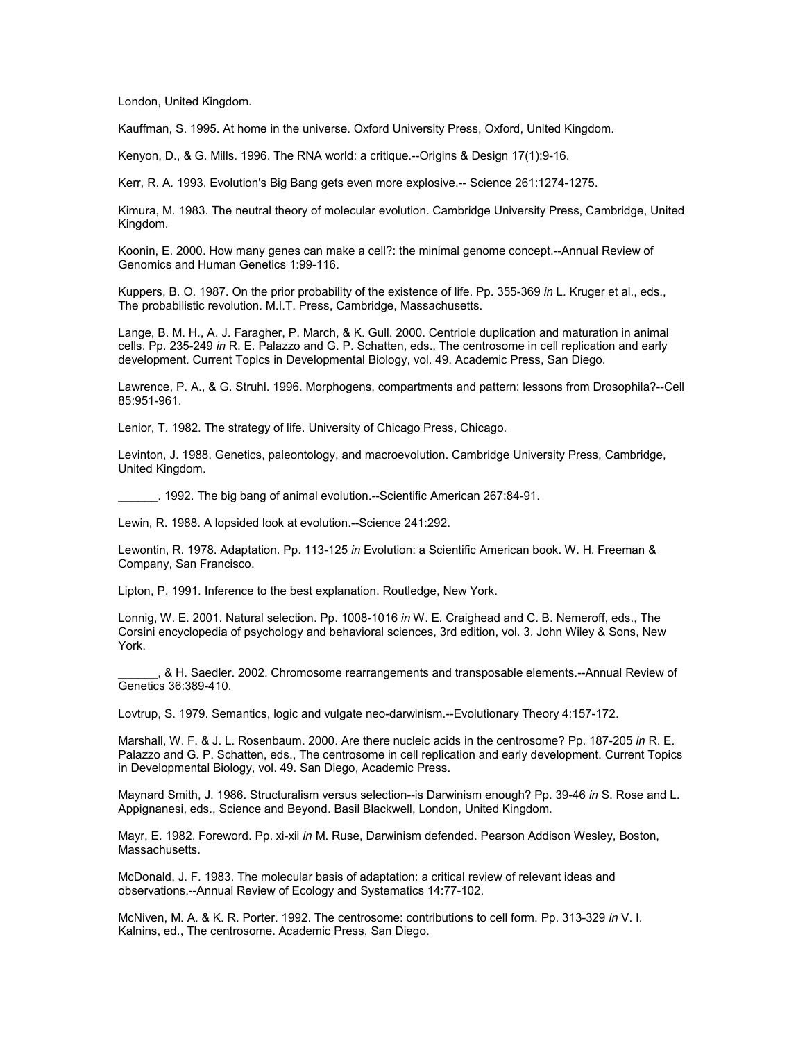London, United Kingdom.

Kauffman, S. 1995. At home in the universe. Oxford University Press, Oxford, United Kingdom.

Kenyon, D., & G. Mills. 1996. The RNA world: a critique.--Origins & Design 17(1):9-16.

Kerr, R. A. 1993. Evolution's Big Bang gets even more explosive.-- Science 261:1274-1275.

Kimura, M. 1983. The neutral theory of molecular evolution. Cambridge University Press, Cambridge, United Kingdom.

Koonin, E. 2000. How many genes can make a cell?: the minimal genome concept.--Annual Review of Genomics and Human Genetics 1:99-116.

Kuppers, B. O. 1987. On the prior probability of the existence of life. Pp. 355-369 in L. Kruger et al., eds., The probabilistic revolution. M.I.T. Press, Cambridge, Massachusetts.

Lange, B. M. H., A. J. Faragher, P. March, & K. Gull. 2000. Centriole duplication and maturation in animal cells. Pp. 235-249 in R. E. Palazzo and G. P. Schatten, eds., The centrosome in cell replication and early development. Current Topics in Developmental Biology, vol. 49. Academic Press, San Diego.

Lawrence, P. A., & G. Struhl. 1996. Morphogens, compartments and pattern: lessons from Drosophila?--Cell 85:951-961.

Lenior, T. 1982. The strategy of life. University of Chicago Press, Chicago.

Levinton, J. 1988. Genetics, paleontology, and macroevolution. Cambridge University Press, Cambridge, United Kingdom.

\_\_\_\_\_\_. 1992. The big bang of animal evolution.--Scientific American 267:84-91.

Lewin, R. 1988. A lopsided look at evolution.--Science 241:292.

Lewontin, R. 1978. Adaptation. Pp. 113-125 in Evolution: a Scientific American book. W. H. Freeman & Company, San Francisco.

Lipton, P. 1991. Inference to the best explanation. Routledge, New York.

Lonnig, W. E. 2001. Natural selection. Pp. 1008-1016 in W. E. Craighead and C. B. Nemeroff, eds., The Corsini encyclopedia of psychology and behavioral sciences, 3rd edition, vol. 3. John Wiley & Sons, New York.

\_\_\_\_\_\_, & H. Saedler. 2002. Chromosome rearrangements and transposable elements.--Annual Review of Genetics 36:389-410.

Lovtrup, S. 1979. Semantics, logic and vulgate neo-darwinism.--Evolutionary Theory 4:157-172.

Marshall, W. F. & J. L. Rosenbaum. 2000. Are there nucleic acids in the centrosome? Pp. 187-205 in R. E. Palazzo and G. P. Schatten, eds., The centrosome in cell replication and early development. Current Topics in Developmental Biology, vol. 49. San Diego, Academic Press.

Maynard Smith, J. 1986. Structuralism versus selection--is Darwinism enough? Pp. 39-46 in S. Rose and L. Appignanesi, eds., Science and Beyond. Basil Blackwell, London, United Kingdom.

Mayr, E. 1982. Foreword. Pp. xi-xii in M. Ruse, Darwinism defended. Pearson Addison Wesley, Boston, Massachusetts.

McDonald, J. F. 1983. The molecular basis of adaptation: a critical review of relevant ideas and observations.--Annual Review of Ecology and Systematics 14:77-102.

McNiven, M. A. & K. R. Porter. 1992. The centrosome: contributions to cell form. Pp. 313-329 in V. I. Kalnins, ed., The centrosome. Academic Press, San Diego.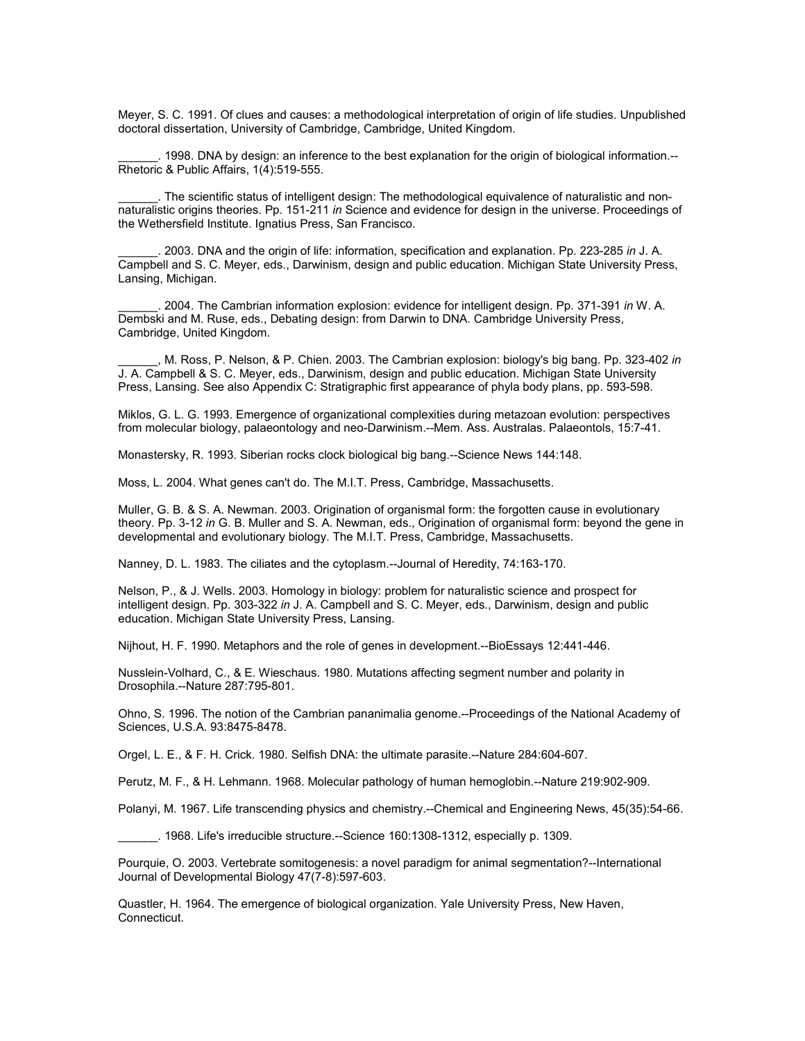Meyer, S. C. 1991. Of clues and causes: a methodological interpretation of origin of life studies. Unpublished doctoral dissertation, University of Cambridge, Cambridge, United Kingdom.

\_\_\_\_\_\_. 1998. DNA by design: an inference to the best explanation for the origin of biological information.-- Rhetoric & Public Affairs, 1(4):519-555.

The scientific status of intelligent design: The methodological equivalence of naturalistic and nonnaturalistic origins theories. Pp. 151-211 in Science and evidence for design in the universe. Proceedings of the Wethersfield Institute. Ignatius Press, San Francisco.

. 2003. DNA and the origin of life: information, specification and explanation. Pp. 223-285 in J. A. Campbell and S. C. Meyer, eds., Darwinism, design and public education. Michigan State University Press, Lansing, Michigan.

. 2004. The Cambrian information explosion: evidence for intelligent design. Pp. 371-391 in W. A. Dembski and M. Ruse, eds., Debating design: from Darwin to DNA. Cambridge University Press, Cambridge, United Kingdom.

. M. Ross, P. Nelson, & P. Chien. 2003. The Cambrian explosion: biology's big bang. Pp. 323-402 in J. A. Campbell & S. C. Meyer, eds., Darwinism, design and public education. Michigan State University Press, Lansing. See also Appendix C: Stratigraphic first appearance of phyla body plans, pp. 593-598.

Miklos, G. L. G. 1993. Emergence of organizational complexities during metazoan evolution: perspectives from molecular biology, palaeontology and neo-Darwinism.--Mem. Ass. Australas. Palaeontols, 15:7-41.

Monastersky, R. 1993. Siberian rocks clock biological big bang.--Science News 144:148.

Moss, L. 2004. What genes can't do. The M.I.T. Press, Cambridge, Massachusetts.

Muller, G. B. & S. A. Newman. 2003. Origination of organismal form: the forgotten cause in evolutionary theory. Pp. 3-12 in G. B. Muller and S. A. Newman, eds., Origination of organismal form: beyond the gene in developmental and evolutionary biology. The M.I.T. Press, Cambridge, Massachusetts.

Nanney, D. L. 1983. The ciliates and the cytoplasm.--Journal of Heredity, 74:163-170.

Nelson, P., & J. Wells. 2003. Homology in biology: problem for naturalistic science and prospect for intelligent design. Pp. 303-322 in J. A. Campbell and S. C. Meyer, eds., Darwinism, design and public education. Michigan State University Press, Lansing.

Nijhout, H. F. 1990. Metaphors and the role of genes in development.--BioEssays 12:441-446.

Nusslein-Volhard, C., & E. Wieschaus. 1980. Mutations affecting segment number and polarity in Drosophila.--Nature 287:795-801.

Ohno, S. 1996. The notion of the Cambrian pananimalia genome.--Proceedings of the National Academy of Sciences, U.S.A. 93:8475-8478.

Orgel, L. E., & F. H. Crick. 1980. Selfish DNA: the ultimate parasite.--Nature 284:604-607.

Perutz, M. F., & H. Lehmann. 1968. Molecular pathology of human hemoglobin.--Nature 219:902-909.

Polanyi, M. 1967. Life transcending physics and chemistry.--Chemical and Engineering News, 45(35):54-66.

\_\_\_\_\_\_. 1968. Life's irreducible structure.--Science 160:1308-1312, especially p. 1309.

Pourquie, O. 2003. Vertebrate somitogenesis: a novel paradigm for animal segmentation?--International Journal of Developmental Biology 47(7-8):597-603.

Quastler, H. 1964. The emergence of biological organization. Yale University Press, New Haven, Connecticut.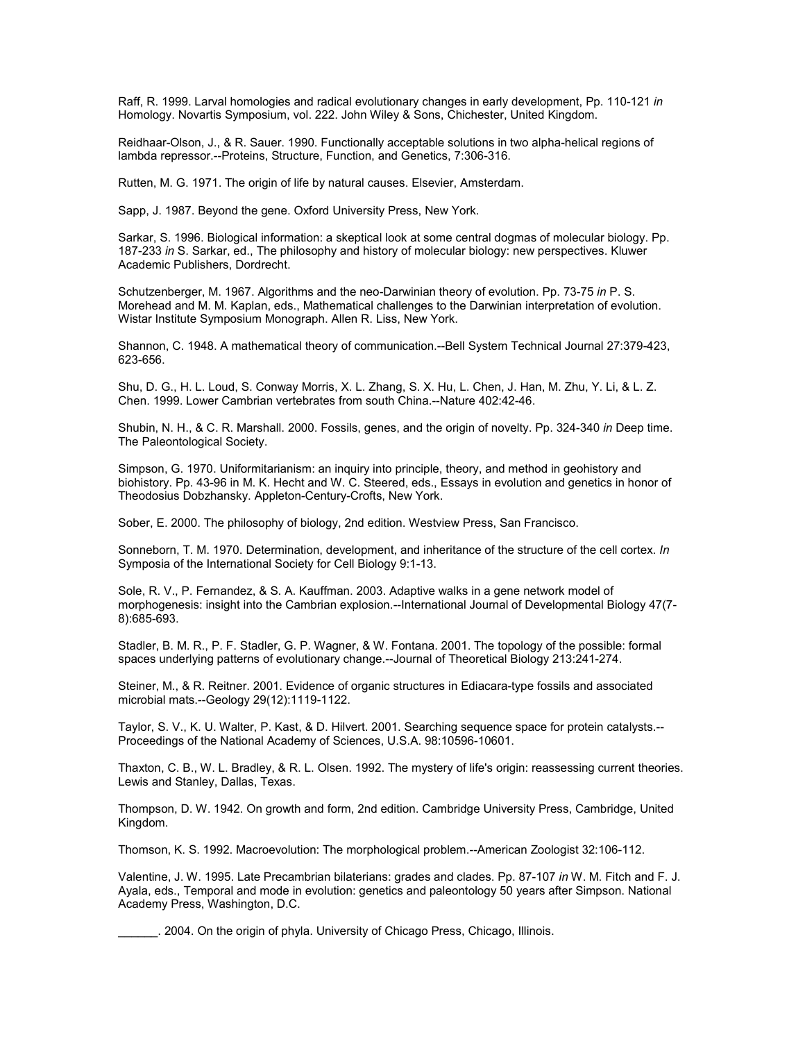Raff, R. 1999. Larval homologies and radical evolutionary changes in early development, Pp. 110-121 in Homology. Novartis Symposium, vol. 222. John Wiley & Sons, Chichester, United Kingdom.

Reidhaar-Olson, J., & R. Sauer. 1990. Functionally acceptable solutions in two alpha-helical regions of lambda repressor.--Proteins, Structure, Function, and Genetics, 7:306-316.

Rutten, M. G. 1971. The origin of life by natural causes. Elsevier, Amsterdam.

Sapp, J. 1987. Beyond the gene. Oxford University Press, New York.

Sarkar, S. 1996. Biological information: a skeptical look at some central dogmas of molecular biology. Pp. 187-233 in S. Sarkar, ed., The philosophy and history of molecular biology: new perspectives. Kluwer Academic Publishers, Dordrecht.

Schutzenberger, M. 1967. Algorithms and the neo-Darwinian theory of evolution. Pp. 73-75 in P. S. Morehead and M. M. Kaplan, eds., Mathematical challenges to the Darwinian interpretation of evolution. Wistar Institute Symposium Monograph. Allen R. Liss, New York.

Shannon, C. 1948. A mathematical theory of communication.--Bell System Technical Journal 27:379-423, 623-656.

Shu, D. G., H. L. Loud, S. Conway Morris, X. L. Zhang, S. X. Hu, L. Chen, J. Han, M. Zhu, Y. Li, & L. Z. Chen. 1999. Lower Cambrian vertebrates from south China.--Nature 402:42-46.

Shubin, N. H., & C. R. Marshall. 2000. Fossils, genes, and the origin of novelty. Pp. 324-340 in Deep time. The Paleontological Society.

Simpson, G. 1970. Uniformitarianism: an inquiry into principle, theory, and method in geohistory and biohistory. Pp. 43-96 in M. K. Hecht and W. C. Steered, eds., Essays in evolution and genetics in honor of Theodosius Dobzhansky. Appleton-Century-Crofts, New York.

Sober, E. 2000. The philosophy of biology, 2nd edition. Westview Press, San Francisco.

Sonneborn, T. M. 1970. Determination, development, and inheritance of the structure of the cell cortex. In Symposia of the International Society for Cell Biology 9:1-13.

Sole, R. V., P. Fernandez, & S. A. Kauffman. 2003. Adaptive walks in a gene network model of morphogenesis: insight into the Cambrian explosion.--International Journal of Developmental Biology 47(7- 8):685-693.

Stadler, B. M. R., P. F. Stadler, G. P. Wagner, & W. Fontana. 2001. The topology of the possible: formal spaces underlying patterns of evolutionary change.--Journal of Theoretical Biology 213:241-274.

Steiner, M., & R. Reitner. 2001. Evidence of organic structures in Ediacara-type fossils and associated microbial mats.--Geology 29(12):1119-1122.

Taylor, S. V., K. U. Walter, P. Kast, & D. Hilvert. 2001. Searching sequence space for protein catalysts.-- Proceedings of the National Academy of Sciences, U.S.A. 98:10596-10601.

Thaxton, C. B., W. L. Bradley, & R. L. Olsen. 1992. The mystery of life's origin: reassessing current theories. Lewis and Stanley, Dallas, Texas.

Thompson, D. W. 1942. On growth and form, 2nd edition. Cambridge University Press, Cambridge, United Kingdom.

Thomson, K. S. 1992. Macroevolution: The morphological problem.--American Zoologist 32:106-112.

Valentine, J. W. 1995. Late Precambrian bilaterians: grades and clades. Pp. 87-107 in W. M. Fitch and F. J. Ayala, eds., Temporal and mode in evolution: genetics and paleontology 50 years after Simpson. National Academy Press, Washington, D.C.

\_\_\_\_\_\_. 2004. On the origin of phyla. University of Chicago Press, Chicago, Illinois.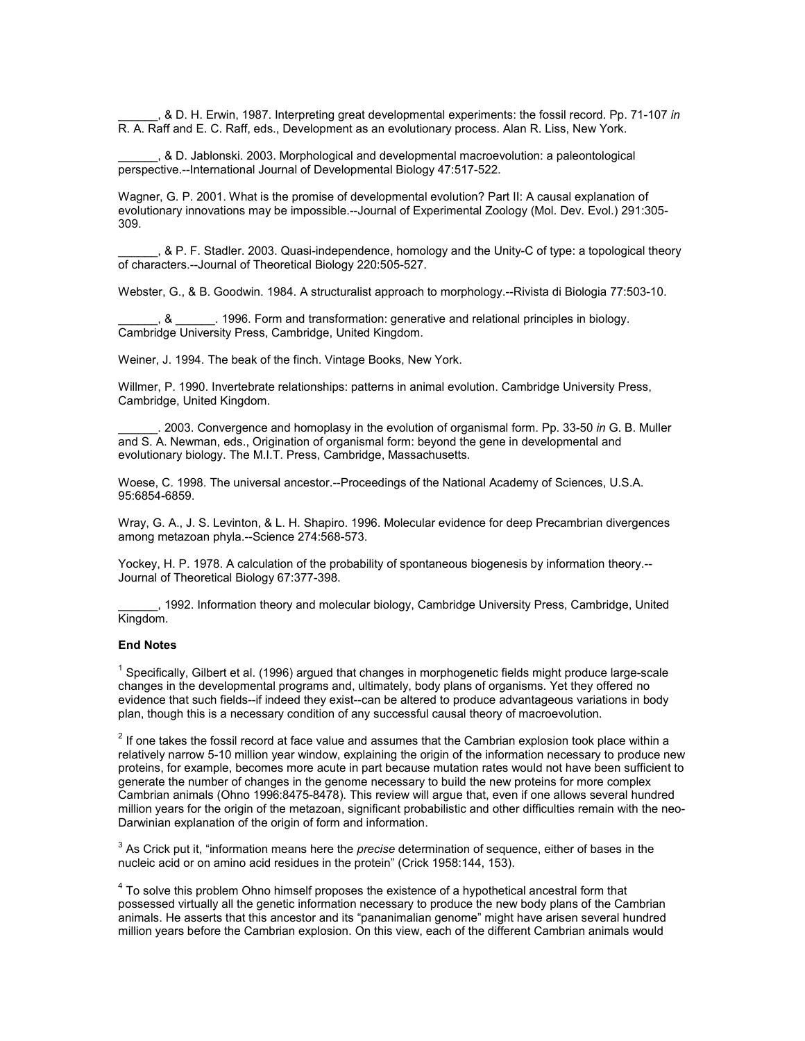\_\_\_\_\_\_, & D. H. Erwin, 1987. Interpreting great developmental experiments: the fossil record. Pp. 71-107 in R. A. Raff and E. C. Raff, eds., Development as an evolutionary process. Alan R. Liss, New York.

\_\_\_\_\_\_, & D. Jablonski. 2003. Morphological and developmental macroevolution: a paleontological perspective.--International Journal of Developmental Biology 47:517-522.

Wagner, G. P. 2001. What is the promise of developmental evolution? Part II: A causal explanation of evolutionary innovations may be impossible.--Journal of Experimental Zoology (Mol. Dev. Evol.) 291:305- 309.

\_\_\_\_\_\_, & P. F. Stadler. 2003. Quasi-independence, homology and the Unity-C of type: a topological theory of characters.--Journal of Theoretical Biology 220:505-527.

Webster, G., & B. Goodwin. 1984. A structuralist approach to morphology.--Rivista di Biologia 77:503-10.

, & \_\_\_\_\_\_, 1996. Form and transformation: generative and relational principles in biology. Cambridge University Press, Cambridge, United Kingdom.

Weiner, J. 1994. The beak of the finch. Vintage Books, New York.

Willmer, P. 1990. Invertebrate relationships: patterns in animal evolution. Cambridge University Press, Cambridge, United Kingdom.

2003. Convergence and homoplasy in the evolution of organismal form. Pp. 33-50 in G. B. Muller and S. A. Newman, eds., Origination of organismal form: beyond the gene in developmental and evolutionary biology. The M.I.T. Press, Cambridge, Massachusetts.

Woese, C. 1998. The universal ancestor.--Proceedings of the National Academy of Sciences, U.S.A. 95:6854-6859.

Wray, G. A., J. S. Levinton, & L. H. Shapiro. 1996. Molecular evidence for deep Precambrian divergences among metazoan phyla.--Science 274:568-573.

Yockey, H. P. 1978. A calculation of the probability of spontaneous biogenesis by information theory.-- Journal of Theoretical Biology 67:377-398.

\_\_\_\_\_\_, 1992. Information theory and molecular biology, Cambridge University Press, Cambridge, United Kingdom.

#### End Notes

<sup>1</sup> Specifically, Gilbert et al. (1996) argued that changes in morphogenetic fields might produce large-scale changes in the developmental programs and, ultimately, body plans of organisms. Yet they offered no evidence that such fields--if indeed they exist--can be altered to produce advantageous variations in body plan, though this is a necessary condition of any successful causal theory of macroevolution.

 $2$  If one takes the fossil record at face value and assumes that the Cambrian explosion took place within a relatively narrow 5-10 million year window, explaining the origin of the information necessary to produce new proteins, for example, becomes more acute in part because mutation rates would not have been sufficient to generate the number of changes in the genome necessary to build the new proteins for more complex Cambrian animals (Ohno 1996:8475-8478). This review will argue that, even if one allows several hundred million years for the origin of the metazoan, significant probabilistic and other difficulties remain with the neo-Darwinian explanation of the origin of form and information.

 $3$  As Crick put it, "information means here the *precise* determination of sequence, either of bases in the nucleic acid or on amino acid residues in the protein" (Crick 1958:144, 153).

 $4$  To solve this problem Ohno himself proposes the existence of a hypothetical ancestral form that possessed virtually all the genetic information necessary to produce the new body plans of the Cambrian animals. He asserts that this ancestor and its "pananimalian genome" might have arisen several hundred million years before the Cambrian explosion. On this view, each of the different Cambrian animals would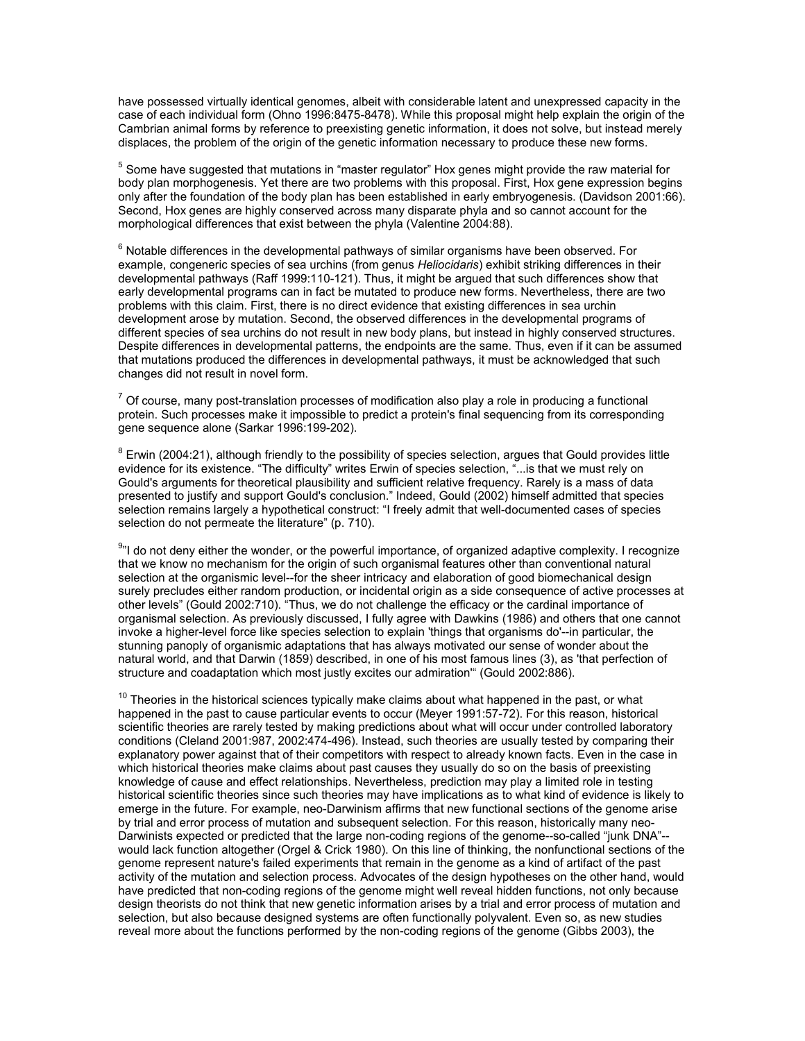have possessed virtually identical genomes, albeit with considerable latent and unexpressed capacity in the case of each individual form (Ohno 1996:8475-8478). While this proposal might help explain the origin of the Cambrian animal forms by reference to preexisting genetic information, it does not solve, but instead merely displaces, the problem of the origin of the genetic information necessary to produce these new forms.

 $^5$  Some have suggested that mutations in "master regulator" Hox genes might provide the raw material for body plan morphogenesis. Yet there are two problems with this proposal. First, Hox gene expression begins only after the foundation of the body plan has been established in early embryogenesis. (Davidson 2001:66). Second, Hox genes are highly conserved across many disparate phyla and so cannot account for the morphological differences that exist between the phyla (Valentine 2004:88).

 $^6$  Notable differences in the developmental pathways of similar organisms have been observed. For example, congeneric species of sea urchins (from genus Heliocidaris) exhibit striking differences in their developmental pathways (Raff 1999:110-121). Thus, it might be argued that such differences show that early developmental programs can in fact be mutated to produce new forms. Nevertheless, there are two problems with this claim. First, there is no direct evidence that existing differences in sea urchin development arose by mutation. Second, the observed differences in the developmental programs of different species of sea urchins do not result in new body plans, but instead in highly conserved structures. Despite differences in developmental patterns, the endpoints are the same. Thus, even if it can be assumed that mutations produced the differences in developmental pathways, it must be acknowledged that such changes did not result in novel form.

 $^7$  Of course, many post-translation processes of modification also play a role in producing a functional protein. Such processes make it impossible to predict a protein's final sequencing from its corresponding gene sequence alone (Sarkar 1996:199-202).

 $^8$  Erwin (2004:21), although friendly to the possibility of species selection, argues that Gould provides little evidence for its existence. "The difficulty" writes Erwin of species selection, "...is that we must rely on Gould's arguments for theoretical plausibility and sufficient relative frequency. Rarely is a mass of data presented to justify and support Gould's conclusion." Indeed, Gould (2002) himself admitted that species selection remains largely a hypothetical construct: "I freely admit that well-documented cases of species selection do not permeate the literature" (p. 710).

<sup>9</sup>"I do not deny either the wonder, or the powerful importance, of organized adaptive complexity. I recognize that we know no mechanism for the origin of such organismal features other than conventional natural selection at the organismic level--for the sheer intricacy and elaboration of good biomechanical design surely precludes either random production, or incidental origin as a side consequence of active processes at other levels" (Gould 2002:710). "Thus, we do not challenge the efficacy or the cardinal importance of organismal selection. As previously discussed, I fully agree with Dawkins (1986) and others that one cannot invoke a higher-level force like species selection to explain 'things that organisms do'--in particular, the stunning panoply of organismic adaptations that has always motivated our sense of wonder about the natural world, and that Darwin (1859) described, in one of his most famous lines (3), as 'that perfection of structure and coadaptation which most justly excites our admiration'" (Gould 2002:886).

 $10$  Theories in the historical sciences typically make claims about what happened in the past, or what happened in the past to cause particular events to occur (Meyer 1991:57-72). For this reason, historical scientific theories are rarely tested by making predictions about what will occur under controlled laboratory conditions (Cleland 2001:987, 2002:474-496). Instead, such theories are usually tested by comparing their explanatory power against that of their competitors with respect to already known facts. Even in the case in which historical theories make claims about past causes they usually do so on the basis of preexisting knowledge of cause and effect relationships. Nevertheless, prediction may play a limited role in testing historical scientific theories since such theories may have implications as to what kind of evidence is likely to emerge in the future. For example, neo-Darwinism affirms that new functional sections of the genome arise by trial and error process of mutation and subsequent selection. For this reason, historically many neo-Darwinists expected or predicted that the large non-coding regions of the genome--so-called "junk DNA"- would lack function altogether (Orgel & Crick 1980). On this line of thinking, the nonfunctional sections of the genome represent nature's failed experiments that remain in the genome as a kind of artifact of the past activity of the mutation and selection process. Advocates of the design hypotheses on the other hand, would have predicted that non-coding regions of the genome might well reveal hidden functions, not only because design theorists do not think that new genetic information arises by a trial and error process of mutation and selection, but also because designed systems are often functionally polyvalent. Even so, as new studies reveal more about the functions performed by the non-coding regions of the genome (Gibbs 2003), the